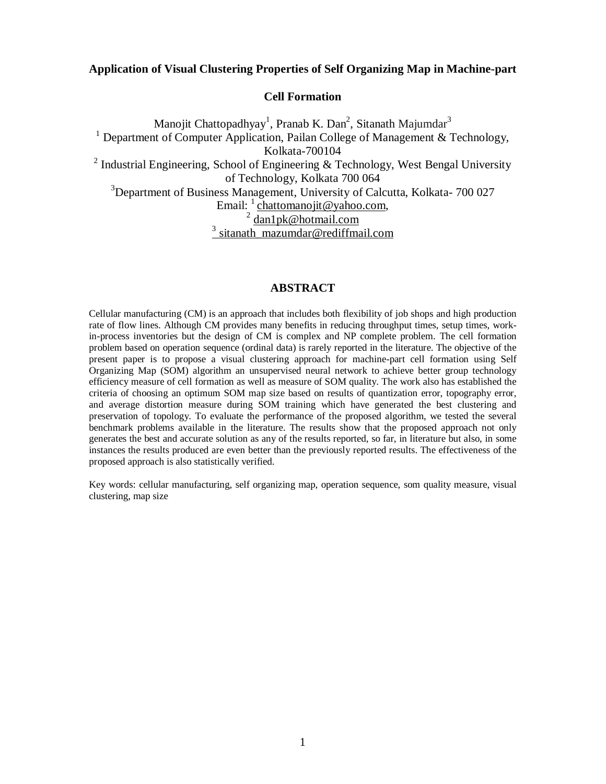# **Application of Visual Clustering Properties of Self Organizing Map in Machine-part**

#### **Cell Formation**

Manojit Chattopadhyay<sup>1</sup>, Pranab K. Dan<sup>2</sup>, Sitanath Majumdar<sup>3</sup> <sup>1</sup> Department of Computer Application, Pailan College of Management & Technology, Kolkata-700104 <sup>2</sup> Industrial Engineering, School of Engineering & Technology, West Bengal University of Technology, Kolkata 700 064 <sup>3</sup>Department of Business Management, University of Calcutta, Kolkata-700 027 Email: <sup>1</sup> chattomanojit@yahoo.com,<br><sup>2</sup> dan1pk@hotmail.com <sup>3</sup> sitanath\_mazumdar@rediffmail.com

# **ABSTRACT**

Cellular manufacturing (CM) is an approach that includes both flexibility of job shops and high production rate of flow lines. Although CM provides many benefits in reducing throughput times, setup times, workin-process inventories but the design of CM is complex and NP complete problem. The cell formation problem based on operation sequence (ordinal data) is rarely reported in the literature. The objective of the present paper is to propose a visual clustering approach for machine-part cell formation using Self Organizing Map (SOM) algorithm an unsupervised neural network to achieve better group technology efficiency measure of cell formation as well as measure of SOM quality. The work also has established the criteria of choosing an optimum SOM map size based on results of quantization error, topography error, and average distortion measure during SOM training which have generated the best clustering and preservation of topology. To evaluate the performance of the proposed algorithm, we tested the several benchmark problems available in the literature. The results show that the proposed approach not only generates the best and accurate solution as any of the results reported, so far, in literature but also, in some instances the results produced are even better than the previously reported results. The effectiveness of the proposed approach is also statistically verified.

Key words: cellular manufacturing, self organizing map, operation sequence, som quality measure, visual clustering, map size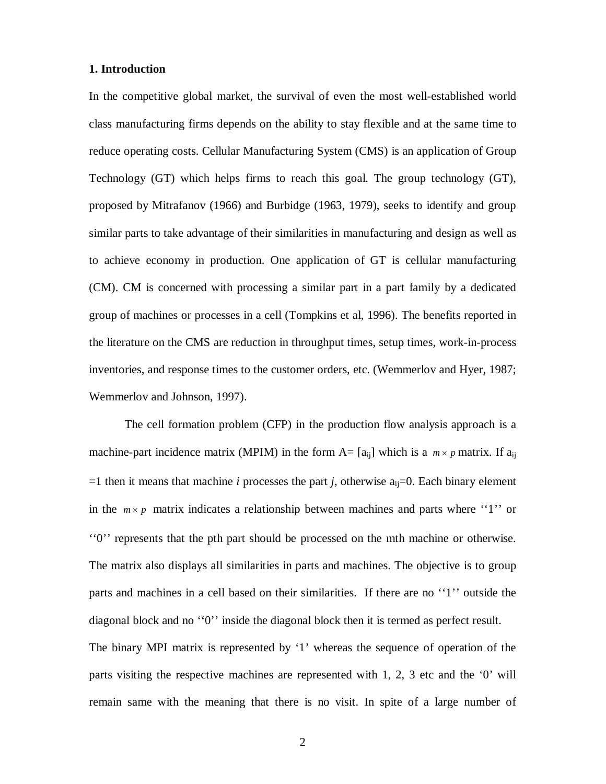## **1. Introduction**

In the competitive global market, the survival of even the most well-established world class manufacturing firms depends on the ability to stay flexible and at the same time to reduce operating costs. Cellular Manufacturing System (CMS) is an application of Group Technology (GT) which helps firms to reach this goal. The group technology (GT), proposed by Mitrafanov (1966) and Burbidge (1963, 1979), seeks to identify and group similar parts to take advantage of their similarities in manufacturing and design as well as to achieve economy in production. One application of GT is cellular manufacturing (CM). CM is concerned with processing a similar part in a part family by a dedicated group of machines or processes in a cell (Tompkins et al, 1996). The benefits reported in the literature on the CMS are reduction in throughput times, setup times, work-in-process inventories, and response times to the customer orders, etc. (Wemmerlov and Hyer, 1987; Wemmerlov and Johnson, 1997).

The cell formation problem (CFP) in the production flow analysis approach is a machine-part incidence matrix (MPIM) in the form  $A = [a_{ii}]$  which is a  $m \times p$  matrix. If  $a_{ii}$  $=1$  then it means that machine *i* processes the part *j*, otherwise  $a_{ii}=0$ . Each binary element in the  $m \times p$  matrix indicates a relationship between machines and parts where "1" or ''0'' represents that the pth part should be processed on the mth machine or otherwise. The matrix also displays all similarities in parts and machines. The objective is to group parts and machines in a cell based on their similarities. If there are no ''1'' outside the diagonal block and no ''0'' inside the diagonal block then it is termed as perfect result. The binary MPI matrix is represented by '1' whereas the sequence of operation of the parts visiting the respective machines are represented with 1, 2, 3 etc and the '0' will remain same with the meaning that there is no visit. In spite of a large number of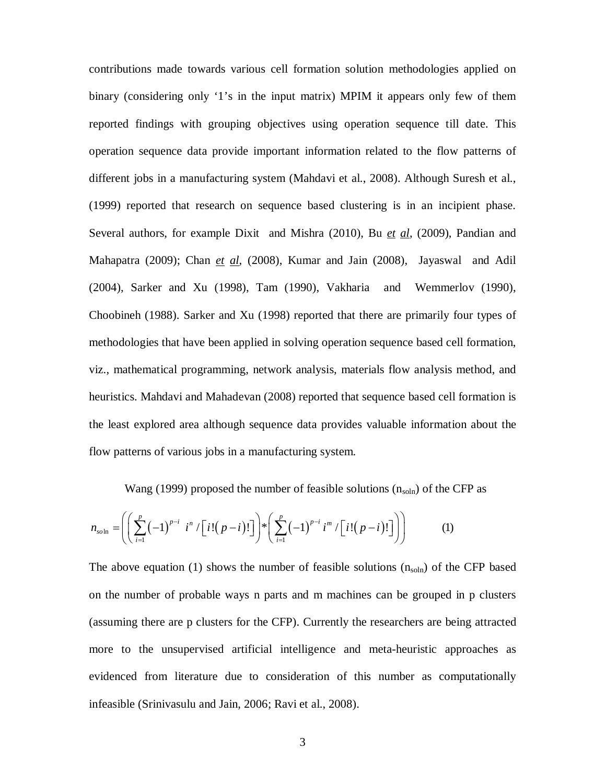contributions made towards various cell formation solution methodologies applied on binary (considering only '1's in the input matrix) MPIM it appears only few of them reported findings with grouping objectives using operation sequence till date. This operation sequence data provide important information related to the flow patterns of different jobs in a manufacturing system (Mahdavi et al., 2008). Although Suresh et al., (1999) reported that research on sequence based clustering is in an incipient phase. Several authors, for example Dixit and Mishra (2010), Bu *et al*, (2009), Pandian and Mahapatra (2009); Chan *et al*, (2008), Kumar and Jain (2008), Jayaswal and Adil (2004), Sarker and Xu (1998), Tam (1990), Vakharia and Wemmerlov (1990), Choobineh (1988). Sarker and Xu (1998) reported that there are primarily four types of methodologies that have been applied in solving operation sequence based cell formation, viz., mathematical programming, network analysis, materials flow analysis method, and heuristics. Mahdavi and Mahadevan (2008) reported that sequence based cell formation is the least explored area although sequence data provides valuable information about the flow patterns of various jobs in a manufacturing system.

Wang (1999) proposed the number of feasible solutions  $(n_{soln})$  of the CFP as

$$
n_{\text{soln}} = \left( \left( \sum_{i=1}^{p} (-1)^{p-i} i^n / \left[ i! (p-i)! \right] \right) * \left( \sum_{i=1}^{p} (-1)^{p-i} i^m / \left[ i! (p-i)! \right] \right) \right) \tag{1}
$$

The above equation (1) shows the number of feasible solutions  $(n_{soln})$  of the CFP based on the number of probable ways n parts and m machines can be grouped in p clusters (assuming there are p clusters for the CFP). Currently the researchers are being attracted more to the unsupervised artificial intelligence and meta-heuristic approaches as evidenced from literature due to consideration of this number as computationally infeasible (Srinivasulu and Jain, 2006; Ravi et al., 2008).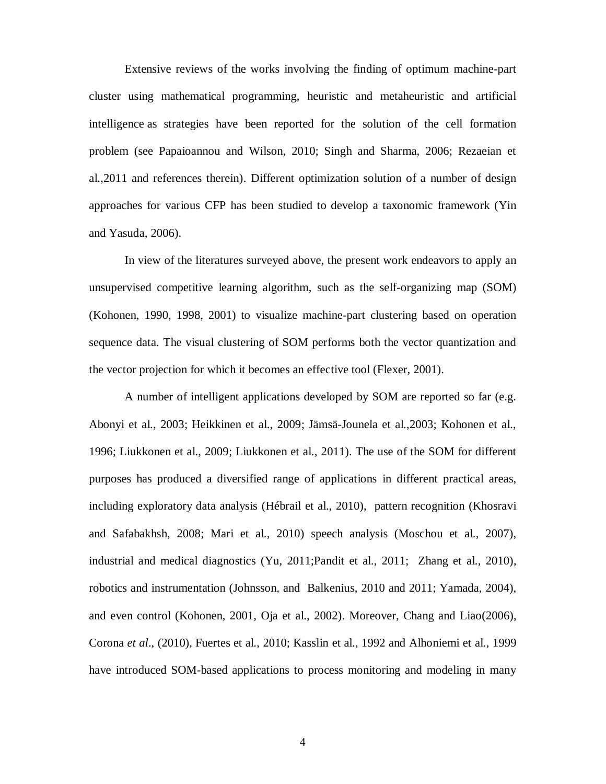Extensive reviews of the works involving the finding of optimum machine-part cluster using mathematical programming, heuristic and metaheuristic and artificial intelligence as strategies have been reported for the solution of the cell formation problem (see Papaioannou and Wilson, 2010; Singh and Sharma, 2006; Rezaeian et al.,2011 and references therein). Different optimization solution of a number of design approaches for various CFP has been studied to develop a taxonomic framework (Yin and Yasuda, 2006).

In view of the literatures surveyed above, the present work endeavors to apply an unsupervised competitive learning algorithm, such as the self-organizing map (SOM) (Kohonen, 1990, 1998, 2001) to visualize machine-part clustering based on operation sequence data. The visual clustering of SOM performs both the vector quantization and the vector projection for which it becomes an effective tool (Flexer, 2001).

A number of intelligent applications developed by SOM are reported so far (e.g. Abonyi et al., 2003; Heikkinen et al., 2009; Jämsä-Jounela et al.,2003; Kohonen et al., 1996; Liukkonen et al., 2009; Liukkonen et al., 2011). The use of the SOM for different purposes has produced a diversified range of applications in different practical areas, including exploratory data analysis (Hébrail et al., 2010), pattern recognition (Khosravi and Safabakhsh, 2008; Mari et al., 2010) speech analysis (Moschou et al., 2007), industrial and medical diagnostics (Yu, 2011; Pandit et al., 2011; Zhang et al., 2010), robotics and instrumentation (Johnsson, and Balkenius, 2010 and 2011; Yamada, 2004), and even control (Kohonen, 2001, Oja et al., 2002). Moreover, Chang and Liao(2006), Corona *et al*., (2010), Fuertes et al., 2010; Kasslin et al., 1992 and Alhoniemi et al., 1999 have introduced SOM-based applications to process monitoring and modeling in many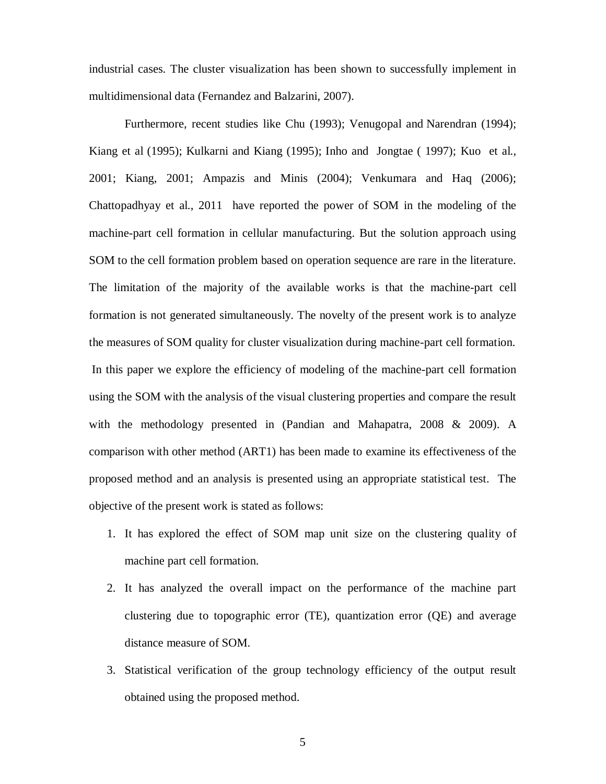industrial cases. The cluster visualization has been shown to successfully implement in multidimensional data (Fernandez and Balzarini, 2007).

Furthermore, recent studies like Chu (1993); Venugopal and Narendran (1994); Kiang et al (1995); Kulkarni and Kiang (1995); Inho and Jongtae ( 1997); Kuo et al., 2001; Kiang, 2001; Ampazis and Minis (2004); Venkumara and Haq (2006); Chattopadhyay et al., 2011 have reported the power of SOM in the modeling of the machine-part cell formation in cellular manufacturing. But the solution approach using SOM to the cell formation problem based on operation sequence are rare in the literature. The limitation of the majority of the available works is that the machine-part cell formation is not generated simultaneously. The novelty of the present work is to analyze the measures of SOM quality for cluster visualization during machine-part cell formation. In this paper we explore the efficiency of modeling of the machine-part cell formation using the SOM with the analysis of the visual clustering properties and compare the result with the methodology presented in (Pandian and Mahapatra, 2008 & 2009). A comparison with other method (ART1) has been made to examine its effectiveness of the proposed method and an analysis is presented using an appropriate statistical test. The objective of the present work is stated as follows:

- 1. It has explored the effect of SOM map unit size on the clustering quality of machine part cell formation.
- 2. It has analyzed the overall impact on the performance of the machine part clustering due to topographic error (TE), quantization error (QE) and average distance measure of SOM.
- 3. Statistical verification of the group technology efficiency of the output result obtained using the proposed method.

5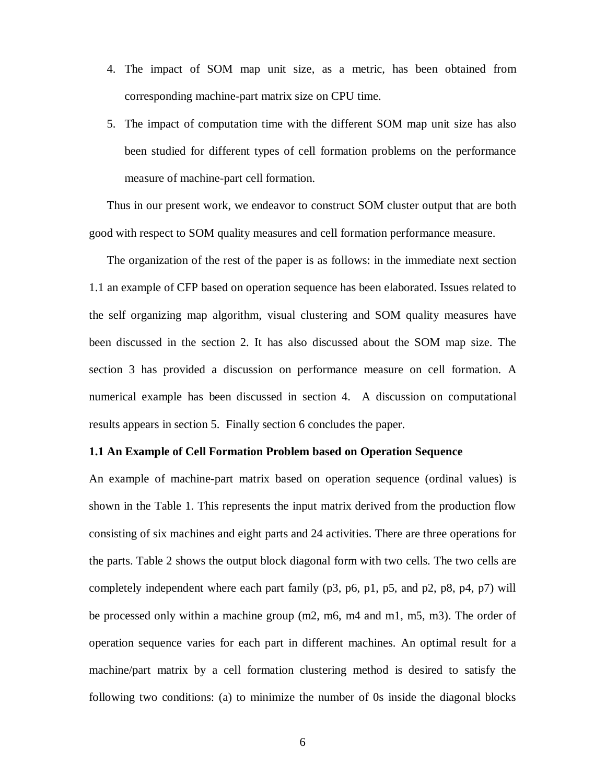- 4. The impact of SOM map unit size, as a metric, has been obtained from corresponding machine-part matrix size on CPU time.
- 5. The impact of computation time with the different SOM map unit size has also been studied for different types of cell formation problems on the performance measure of machine-part cell formation.

Thus in our present work, we endeavor to construct SOM cluster output that are both good with respect to SOM quality measures and cell formation performance measure.

The organization of the rest of the paper is as follows: in the immediate next section 1.1 an example of CFP based on operation sequence has been elaborated. Issues related to the self organizing map algorithm, visual clustering and SOM quality measures have been discussed in the section 2. It has also discussed about the SOM map size. The section 3 has provided a discussion on performance measure on cell formation. A numerical example has been discussed in section 4. A discussion on computational results appears in section 5. Finally section 6 concludes the paper.

# **1.1 An Example of Cell Formation Problem based on Operation Sequence**

An example of machine-part matrix based on operation sequence (ordinal values) is shown in the Table 1. This represents the input matrix derived from the production flow consisting of six machines and eight parts and 24 activities. There are three operations for the parts. Table 2 shows the output block diagonal form with two cells. The two cells are completely independent where each part family (p3, p6, p1, p5, and p2, p8, p4, p7) will be processed only within a machine group (m2, m6, m4 and m1, m5, m3). The order of operation sequence varies for each part in different machines. An optimal result for a machine/part matrix by a cell formation clustering method is desired to satisfy the following two conditions: (a) to minimize the number of 0s inside the diagonal blocks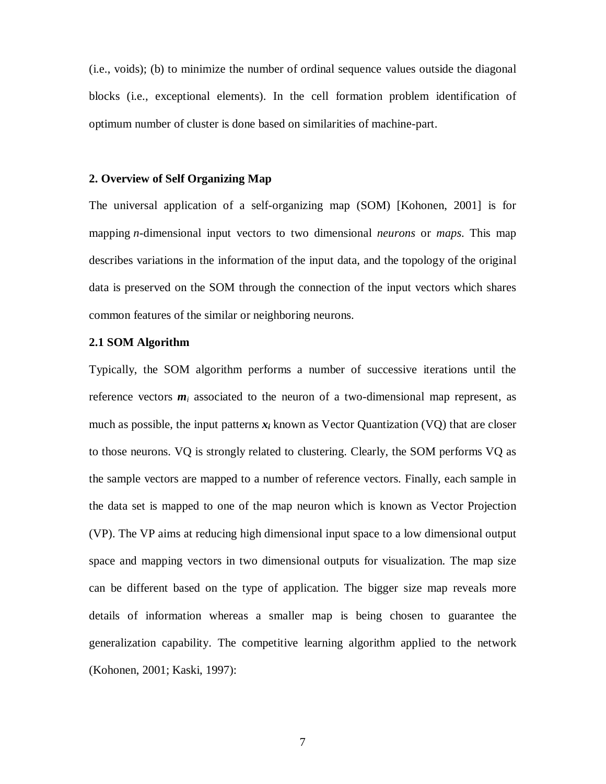(i.e., voids); (b) to minimize the number of ordinal sequence values outside the diagonal blocks (i.e., exceptional elements). In the cell formation problem identification of optimum number of cluster is done based on similarities of machine-part.

# **2. Overview of Self Organizing Map**

The universal application of a self-organizing map (SOM) [Kohonen, 2001] is for mapping *n*-dimensional input vectors to two dimensional *neurons* or *maps*. This map describes variations in the information of the input data, and the topology of the original data is preserved on the SOM through the connection of the input vectors which shares common features of the similar or neighboring neurons.

# **2.1 SOM Algorithm**

Typically, the SOM algorithm performs a number of successive iterations until the reference vectors  $m_i$  associated to the neuron of a two-dimensional map represent, as much as possible, the input patterns  $x_i$  known as Vector Quantization (VQ) that are closer to those neurons. VQ is strongly related to clustering. Clearly, the SOM performs VQ as the sample vectors are mapped to a number of reference vectors. Finally, each sample in the data set is mapped to one of the map neuron which is known as Vector Projection (VP). The VP aims at reducing high dimensional input space to a low dimensional output space and mapping vectors in two dimensional outputs for visualization. The map size can be different based on the type of application. The bigger size map reveals more details of information whereas a smaller map is being chosen to guarantee the generalization capability. The competitive learning algorithm applied to the network (Kohonen, 2001; Kaski, 1997):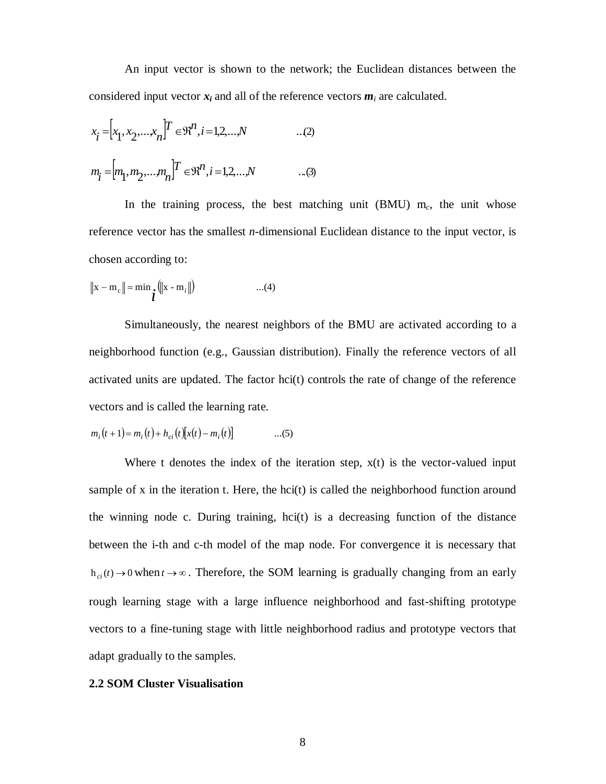An input vector is shown to the network; the Euclidean distances between the considered input vector  $x_i$  and all of the reference vectors  $m_i$  are calculated.

$$
x_{i} = [x_{1}, x_{2},..., x_{n}]^{T} \in \mathbb{R}^{n}, i = 1, 2, ..., N
$$
...(2)  

$$
m_{i} = [m_{1}, m_{2},..., m_{n}]^{T} \in \mathbb{R}^{n}, i = 1, 2, ..., N
$$
...(3)

In the training process, the best matching unit  $(BMU)$  m<sub>c</sub>, the unit whose reference vector has the smallest *n*-dimensional Euclidean distance to the input vector, is chosen according to:

$$
\|\mathbf{x} - \mathbf{m}_{c}\| = \min_{\mathbf{i}} (\|\mathbf{x} - \mathbf{m}_{i}\|) \qquad ...(4)
$$

Simultaneously, the nearest neighbors of the BMU are activated according to a neighborhood function (e.g., Gaussian distribution). Finally the reference vectors of all activated units are updated. The factor hci(t) controls the rate of change of the reference vectors and is called the learning rate.

$$
m_i(t+1) = m_i(t) + h_{ci}(t)[x(t) - m_i(t)] \tag{5}
$$

Where t denotes the index of the iteration step,  $x(t)$  is the vector-valued input sample of x in the iteration t. Here, the hci(t) is called the neighborhood function around the winning node c. During training, hci(t) is a decreasing function of the distance between the i-th and c-th model of the map node. For convergence it is necessary that  $h_{ci}(t) \to 0$  when  $t \to \infty$ . Therefore, the SOM learning is gradually changing from an early rough learning stage with a large influence neighborhood and fast-shifting prototype vectors to a fine-tuning stage with little neighborhood radius and prototype vectors that adapt gradually to the samples.

# **2.2 SOM Cluster Visualisation**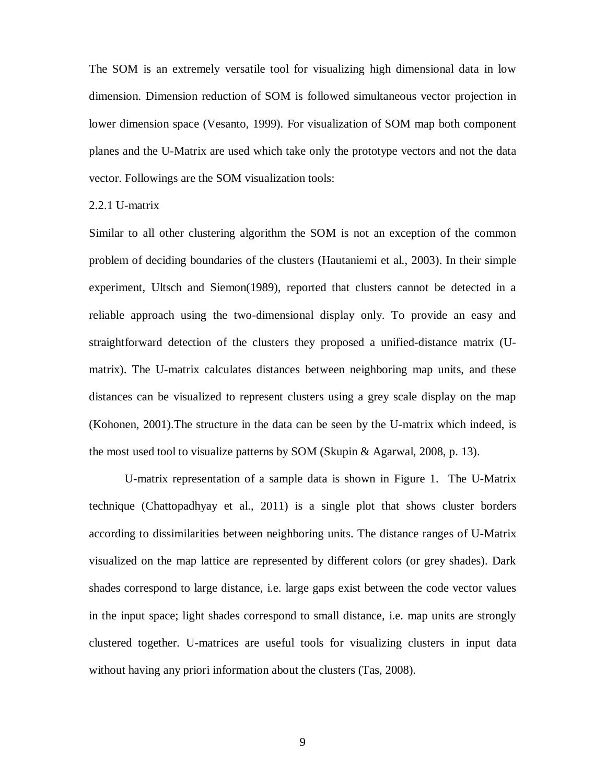The SOM is an extremely versatile tool for visualizing high dimensional data in low dimension. Dimension reduction of SOM is followed simultaneous vector projection in lower dimension space (Vesanto, 1999). For visualization of SOM map both component planes and the U-Matrix are used which take only the prototype vectors and not the data vector. Followings are the SOM visualization tools:

#### 2.2.1 U-matrix

Similar to all other clustering algorithm the SOM is not an exception of the common problem of deciding boundaries of the clusters (Hautaniemi et al., 2003). In their simple experiment, Ultsch and Siemon(1989), reported that clusters cannot be detected in a reliable approach using the two-dimensional display only. To provide an easy and straightforward detection of the clusters they proposed a unified-distance matrix (Umatrix). The U-matrix calculates distances between neighboring map units, and these distances can be visualized to represent clusters using a grey scale display on the map (Kohonen, 2001).The structure in the data can be seen by the U-matrix which indeed, is the most used tool to visualize patterns by SOM (Skupin & Agarwal, 2008, p. 13).

U-matrix representation of a sample data is shown in Figure 1. The U-Matrix technique (Chattopadhyay et al., 2011) is a single plot that shows cluster borders according to dissimilarities between neighboring units. The distance ranges of U-Matrix visualized on the map lattice are represented by different colors (or grey shades). Dark shades correspond to large distance, i.e. large gaps exist between the code vector values in the input space; light shades correspond to small distance, i.e. map units are strongly clustered together. U-matrices are useful tools for visualizing clusters in input data without having any priori information about the clusters (Tas, 2008).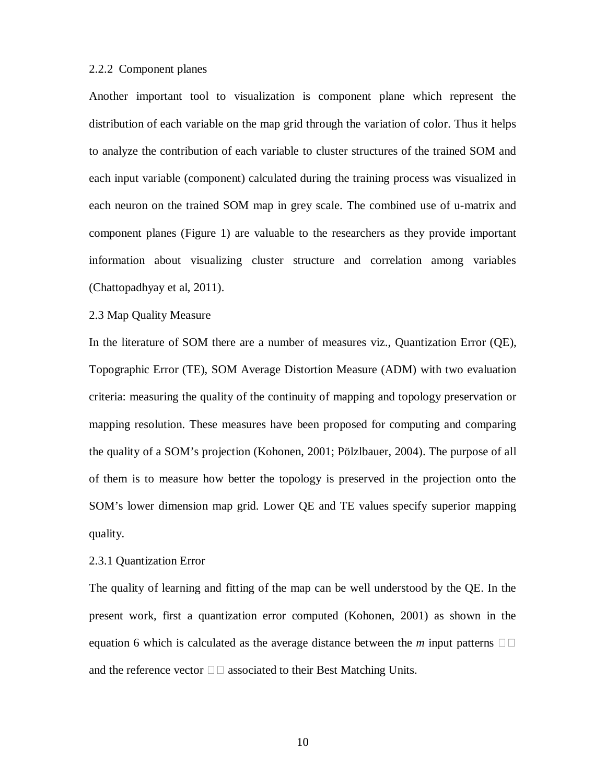#### 2.2.2 Component planes

Another important tool to visualization is component plane which represent the distribution of each variable on the map grid through the variation of color. Thus it helps to analyze the contribution of each variable to cluster structures of the trained SOM and each input variable (component) calculated during the training process was visualized in each neuron on the trained SOM map in grey scale. The combined use of u-matrix and component planes (Figure 1) are valuable to the researchers as they provide important information about visualizing cluster structure and correlation among variables (Chattopadhyay et al, 2011).

#### 2.3 Map Quality Measure

In the literature of SOM there are a number of measures viz., Quantization Error (QE), Topographic Error (TE), SOM Average Distortion Measure (ADM) with two evaluation criteria: measuring the quality of the continuity of mapping and topology preservation or mapping resolution. These measures have been proposed for computing and comparing the quality of a SOM's projection (Kohonen, 2001; Pölzlbauer, 2004). The purpose of all of them is to measure how better the topology is preserved in the projection onto the SOM's lower dimension map grid. Lower QE and TE values specify superior mapping quality.

# 2.3.1 Quantization Error

The quality of learning and fitting of the map can be well understood by the QE. In the present work, first a quantization error computed (Kohonen, 2001) as shown in the equation 6 which is calculated as the average distance between the  $m$  input patterns  $\Box$ and the reference vector  $\Box \Box$  associated to their Best Matching Units.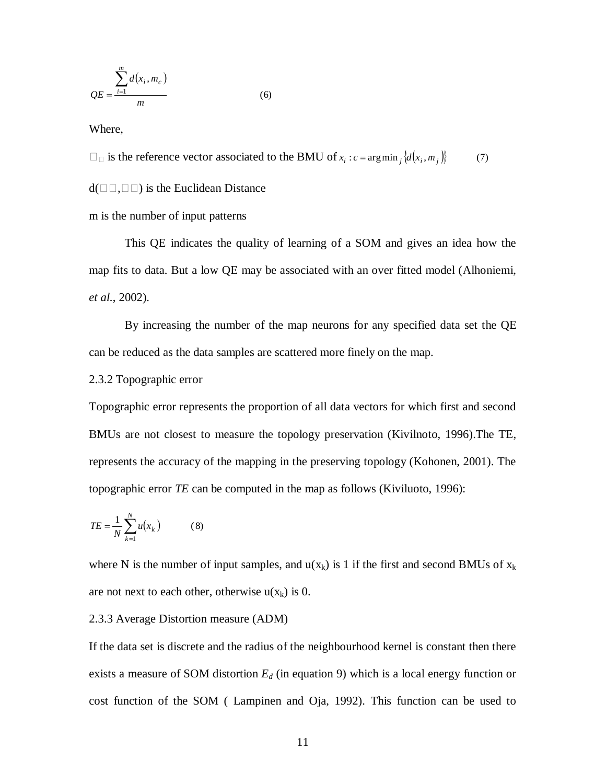$$
QE = \frac{\sum_{i=1}^{m} d(x_i, m_c)}{m}
$$
 (6)

Where,

 $\square$  is the reference vector associated to the BMU of  $x_i : c = \arg \min_j \{d(x_i, m_j)\}$  (7)

 $d(\Box \Box, \Box \Box)$  is the Euclidean Distance

m is the number of input patterns

This QE indicates the quality of learning of a SOM and gives an idea how the map fits to data. But a low QE may be associated with an over fitted model (Alhoniemi*, et al.*, 2002).

By increasing the number of the map neurons for any specified data set the QE can be reduced as the data samples are scattered more finely on the map.

2.3.2 Topographic error

Topographic error represents the proportion of all data vectors for which first and second BMUs are not closest to measure the topology preservation (Kivilnoto, 1996).The TE, represents the accuracy of the mapping in the preserving topology (Kohonen, 2001). The topographic error *TE* can be computed in the map as follows (Kiviluoto, 1996):

$$
TE = \frac{1}{N} \sum_{k=1}^{N} u(x_k)
$$
 (8)

where N is the number of input samples, and  $u(x_k)$  is 1 if the first and second BMUs of  $x_k$ are not next to each other, otherwise  $u(x_k)$  is 0.

#### 2.3.3 Average Distortion measure (ADM)

If the data set is discrete and the radius of the neighbourhood kernel is constant then there exists a measure of SOM distortion *E<sup>d</sup>* (in equation 9) which is a local energy function or cost function of the SOM ( Lampinen and Oja, 1992). This function can be used to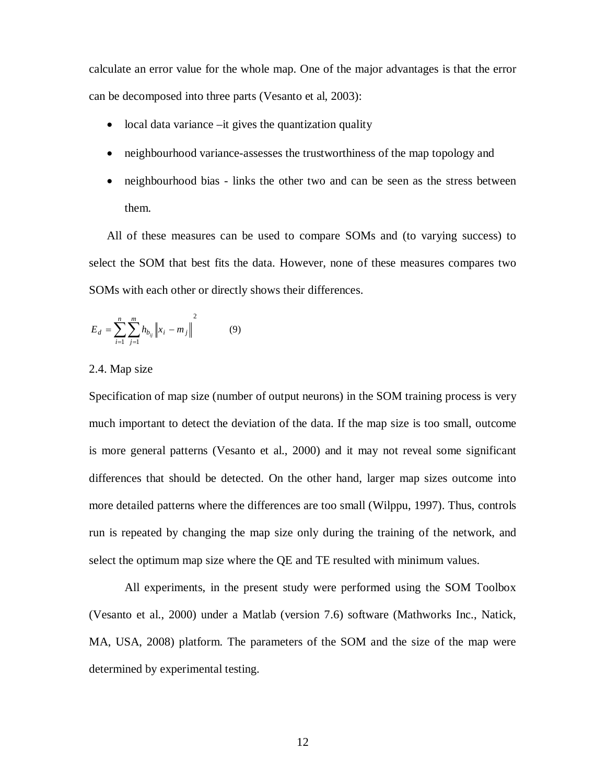calculate an error value for the whole map. One of the major advantages is that the error can be decomposed into three parts (Vesanto et al, 2003):

- $\bullet$  local data variance  $-i$ t gives the quantization quality
- neighbourhood variance-assesses the trustworthiness of the map topology and
- neighbourhood bias links the other two and can be seen as the stress between them.

All of these measures can be used to compare SOMs and (to varying success) to select the SOM that best fits the data. However, none of these measures compares two SOMs with each other or directly shows their differences.

$$
E_d = \sum_{i=1}^{n} \sum_{j=1}^{m} h_{b_{ij}} \|x_i - m_j\|^{2}
$$
 (9)

2.4. Map size

Specification of map size (number of output neurons) in the SOM training process is very much important to detect the deviation of the data. If the map size is too small, outcome is more general patterns (Vesanto et al., 2000) and it may not reveal some significant differences that should be detected. On the other hand, larger map sizes outcome into more detailed patterns where the differences are too small (Wilppu, 1997). Thus, controls run is repeated by changing the map size only during the training of the network, and select the optimum map size where the QE and TE resulted with minimum values.

All experiments, in the present study were performed using the SOM Toolbox (Vesanto et al., 2000) under a Matlab (version 7.6) software (Mathworks Inc., Natick, MA, USA, 2008) platform. The parameters of the SOM and the size of the map were determined by experimental testing.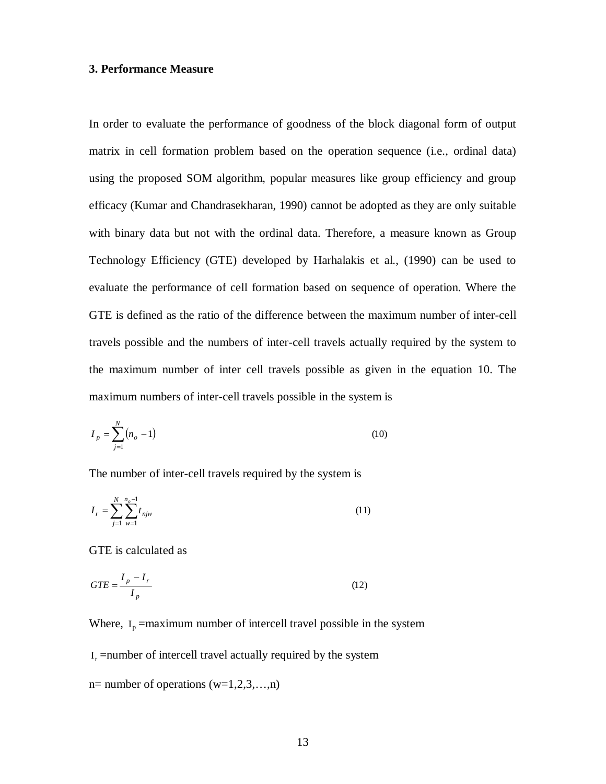# **3. Performance Measure**

In order to evaluate the performance of goodness of the block diagonal form of output matrix in cell formation problem based on the operation sequence (i.e., ordinal data) using the proposed SOM algorithm, popular measures like group efficiency and group efficacy (Kumar and Chandrasekharan, 1990) cannot be adopted as they are only suitable with binary data but not with the ordinal data. Therefore, a measure known as Group Technology Efficiency (GTE) developed by Harhalakis et al., (1990) can be used to evaluate the performance of cell formation based on sequence of operation. Where the GTE is defined as the ratio of the difference between the maximum number of inter-cell travels possible and the numbers of inter-cell travels actually required by the system to the maximum number of inter cell travels possible as given in the equation 10. The maximum numbers of inter-cell travels possible in the system is

$$
I_p = \sum_{j=1}^{N} (n_o - 1) \tag{10}
$$

The number of inter-cell travels required by the system is

$$
I_r = \sum_{j=1}^{N} \sum_{w=1}^{n_o - 1} t_{njw}
$$
\n(11)

GTE is calculated as

$$
GTE = \frac{I_p - I_r}{I_p} \tag{12}
$$

Where,  $I_p$  =maximum number of intercell travel possible in the system

 $I_r$  =number of intercell travel actually required by the system

n= number of operations  $(w=1,2,3,...,n)$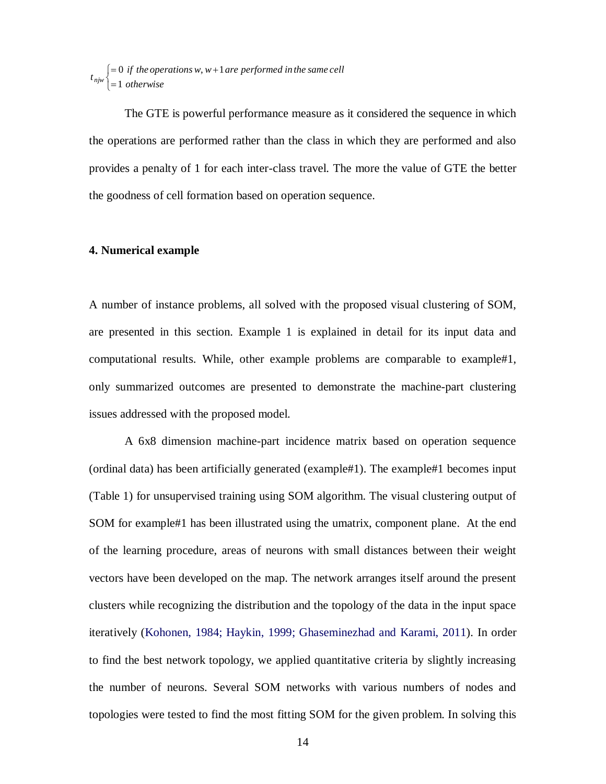$\overline{\mathfrak{l}}$  $\left\{ \right.$  $\int$  $=$  $= 0$  if the operations w, w + *otherwise*  $\begin{cases} f_{n,w} \neq 0 \text{ if the operations } w, w+1 \text{ are performed in the same cell} \\ g_{n,w} \neq 1 \text{ otherwise} \end{cases}$ 

The GTE is powerful performance measure as it considered the sequence in which the operations are performed rather than the class in which they are performed and also provides a penalty of 1 for each inter-class travel. The more the value of GTE the better the goodness of cell formation based on operation sequence.

# **4. Numerical example**

A number of instance problems, all solved with the proposed visual clustering of SOM, are presented in this section. Example 1 is explained in detail for its input data and computational results. While, other example problems are comparable to example#1, only summarized outcomes are presented to demonstrate the machine-part clustering issues addressed with the proposed model.

A 6x8 dimension machine-part incidence matrix based on operation sequence (ordinal data) has been artificially generated (example#1). The example#1 becomes input (Table 1) for unsupervised training using SOM algorithm. The visual clustering output of SOM for example#1 has been illustrated using the umatrix, component plane. At the end of the learning procedure, areas of neurons with small distances between their weight vectors have been developed on the map. The network arranges itself around the present clusters while recognizing the distribution and the topology of the data in the input space iteratively (Kohonen, 1984; Haykin, 1999; Ghaseminezhad and Karami, 2011). In order to find the best network topology, we applied quantitative criteria by slightly increasing the number of neurons. Several SOM networks with various numbers of nodes and topologies were tested to find the most fitting SOM for the given problem. In solving this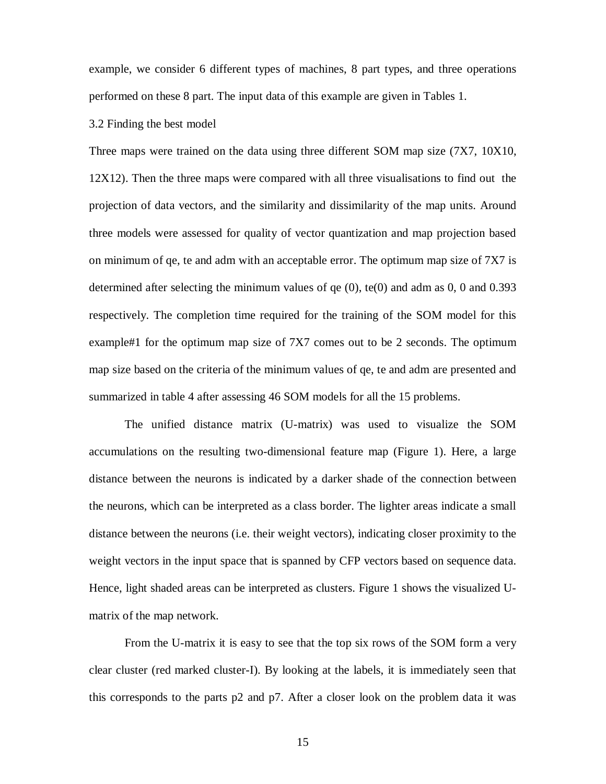example, we consider 6 different types of machines, 8 part types, and three operations performed on these 8 part. The input data of this example are given in Tables 1.

# 3.2 Finding the best model

Three maps were trained on the data using three different SOM map size (7X7, 10X10, 12X12). Then the three maps were compared with all three visualisations to find out the projection of data vectors, and the similarity and dissimilarity of the map units. Around three models were assessed for quality of vector quantization and map projection based on minimum of qe, te and adm with an acceptable error. The optimum map size of 7X7 is determined after selecting the minimum values of  $qe(0)$ ,  $te(0)$  and adm as 0, 0 and 0.393 respectively. The completion time required for the training of the SOM model for this example#1 for the optimum map size of 7X7 comes out to be 2 seconds. The optimum map size based on the criteria of the minimum values of qe, te and adm are presented and summarized in table 4 after assessing 46 SOM models for all the 15 problems.

The unified distance matrix (U-matrix) was used to visualize the SOM accumulations on the resulting two-dimensional feature map (Figure 1). Here, a large distance between the neurons is indicated by a darker shade of the connection between the neurons, which can be interpreted as a class border. The lighter areas indicate a small distance between the neurons (i.e. their weight vectors), indicating closer proximity to the weight vectors in the input space that is spanned by CFP vectors based on sequence data. Hence, light shaded areas can be interpreted as clusters. Figure 1 shows the visualized Umatrix of the map network.

From the U-matrix it is easy to see that the top six rows of the SOM form a very clear cluster (red marked cluster-I). By looking at the labels, it is immediately seen that this corresponds to the parts p2 and p7. After a closer look on the problem data it was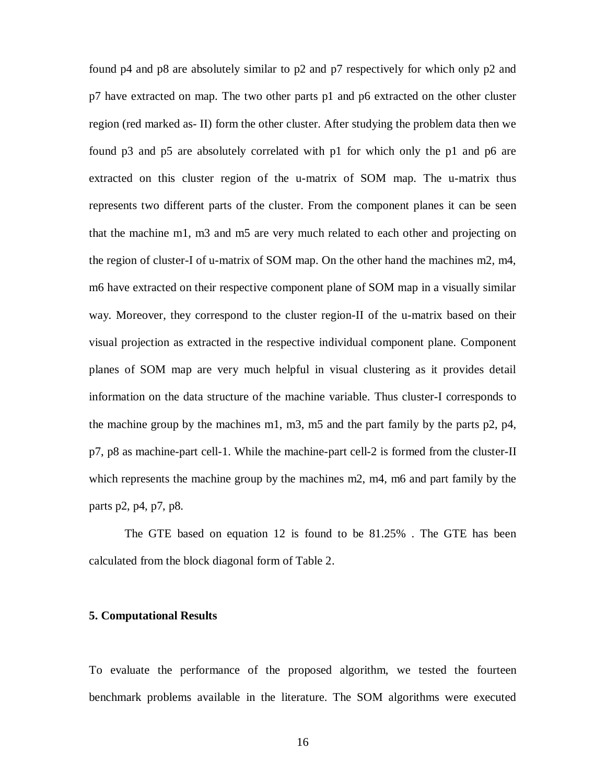found p4 and p8 are absolutely similar to p2 and p7 respectively for which only p2 and p7 have extracted on map. The two other parts p1 and p6 extracted on the other cluster region (red marked as- II) form the other cluster. After studying the problem data then we found p3 and p5 are absolutely correlated with p1 for which only the p1 and p6 are extracted on this cluster region of the u-matrix of SOM map. The u-matrix thus represents two different parts of the cluster. From the component planes it can be seen that the machine m1, m3 and m5 are very much related to each other and projecting on the region of cluster-I of u-matrix of SOM map. On the other hand the machines m2, m4, m6 have extracted on their respective component plane of SOM map in a visually similar way. Moreover, they correspond to the cluster region-II of the u-matrix based on their visual projection as extracted in the respective individual component plane. Component planes of SOM map are very much helpful in visual clustering as it provides detail information on the data structure of the machine variable. Thus cluster-I corresponds to the machine group by the machines m1, m3, m5 and the part family by the parts p2, p4, p7, p8 as machine-part cell-1. While the machine-part cell-2 is formed from the cluster-II which represents the machine group by the machines m2, m4, m6 and part family by the parts p2, p4, p7, p8.

The GTE based on equation 12 is found to be 81.25% . The GTE has been calculated from the block diagonal form of Table 2.

# **5. Computational Results**

To evaluate the performance of the proposed algorithm, we tested the fourteen benchmark problems available in the literature. The SOM algorithms were executed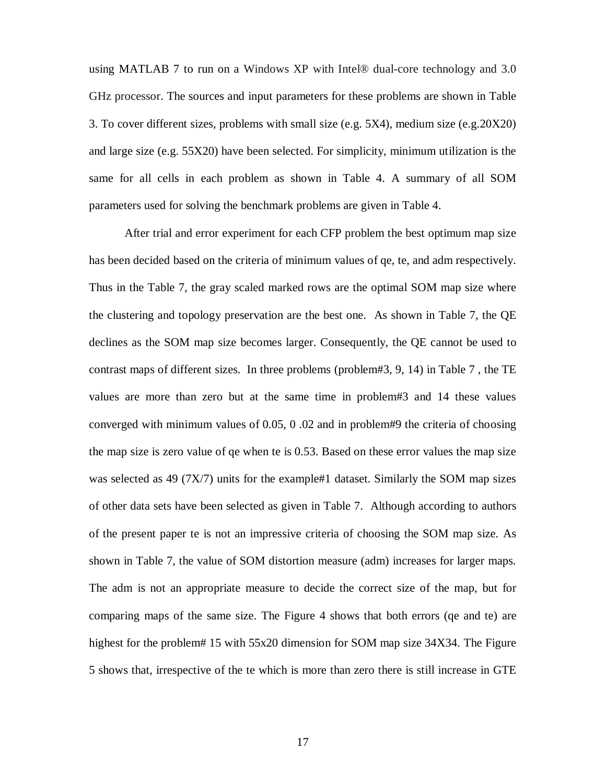using MATLAB 7 to run on a Windows XP with Intel® dual-core technology and 3.0 GHz processor. The sources and input parameters for these problems are shown in Table 3. To cover different sizes, problems with small size (e.g. 5X4), medium size (e.g.20X20) and large size (e.g. 55X20) have been selected. For simplicity, minimum utilization is the same for all cells in each problem as shown in Table 4. A summary of all SOM parameters used for solving the benchmark problems are given in Table 4.

After trial and error experiment for each CFP problem the best optimum map size has been decided based on the criteria of minimum values of qe, te, and adm respectively. Thus in the Table 7, the gray scaled marked rows are the optimal SOM map size where the clustering and topology preservation are the best one. As shown in Table 7, the QE declines as the SOM map size becomes larger. Consequently, the QE cannot be used to contrast maps of different sizes. In three problems (problem#3, 9, 14) in Table 7 , the TE values are more than zero but at the same time in problem#3 and 14 these values converged with minimum values of 0.05, 0 .02 and in problem#9 the criteria of choosing the map size is zero value of qe when te is 0.53. Based on these error values the map size was selected as 49 (7X/7) units for the example#1 dataset. Similarly the SOM map sizes of other data sets have been selected as given in Table 7. Although according to authors of the present paper te is not an impressive criteria of choosing the SOM map size. As shown in Table 7, the value of SOM distortion measure (adm) increases for larger maps. The adm is not an appropriate measure to decide the correct size of the map, but for comparing maps of the same size. The Figure 4 shows that both errors (qe and te) are highest for the problem# 15 with 55x20 dimension for SOM map size 34X34. The Figure 5 shows that, irrespective of the te which is more than zero there is still increase in GTE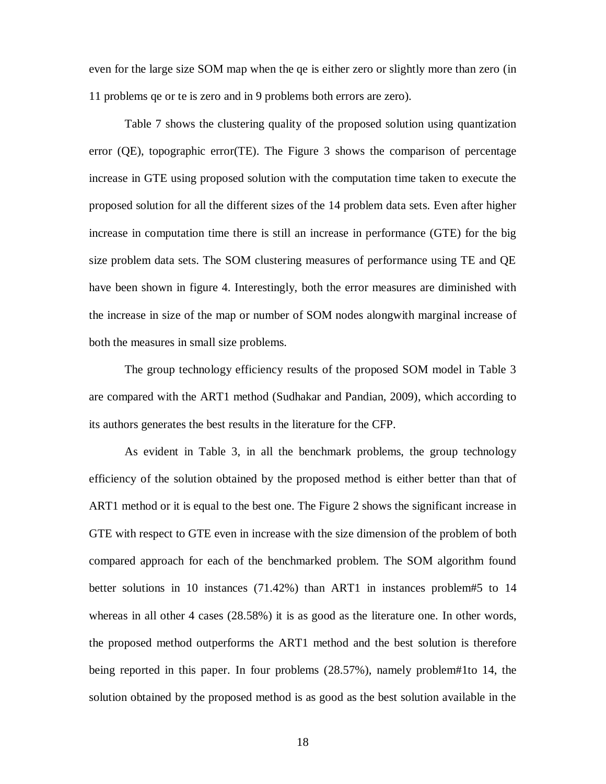even for the large size SOM map when the qe is either zero or slightly more than zero (in 11 problems qe or te is zero and in 9 problems both errors are zero).

Table 7 shows the clustering quality of the proposed solution using quantization error (QE), topographic error(TE). The Figure 3 shows the comparison of percentage increase in GTE using proposed solution with the computation time taken to execute the proposed solution for all the different sizes of the 14 problem data sets. Even after higher increase in computation time there is still an increase in performance (GTE) for the big size problem data sets. The SOM clustering measures of performance using TE and QE have been shown in figure 4. Interestingly, both the error measures are diminished with the increase in size of the map or number of SOM nodes alongwith marginal increase of both the measures in small size problems.

The group technology efficiency results of the proposed SOM model in Table 3 are compared with the ART1 method (Sudhakar and Pandian, 2009), which according to its authors generates the best results in the literature for the CFP.

As evident in Table 3, in all the benchmark problems, the group technology efficiency of the solution obtained by the proposed method is either better than that of ART1 method or it is equal to the best one. The Figure 2 shows the significant increase in GTE with respect to GTE even in increase with the size dimension of the problem of both compared approach for each of the benchmarked problem. The SOM algorithm found better solutions in 10 instances (71.42%) than ART1 in instances problem#5 to 14 whereas in all other 4 cases (28.58%) it is as good as the literature one. In other words, the proposed method outperforms the ART1 method and the best solution is therefore being reported in this paper. In four problems (28.57%), namely problem#1to 14, the solution obtained by the proposed method is as good as the best solution available in the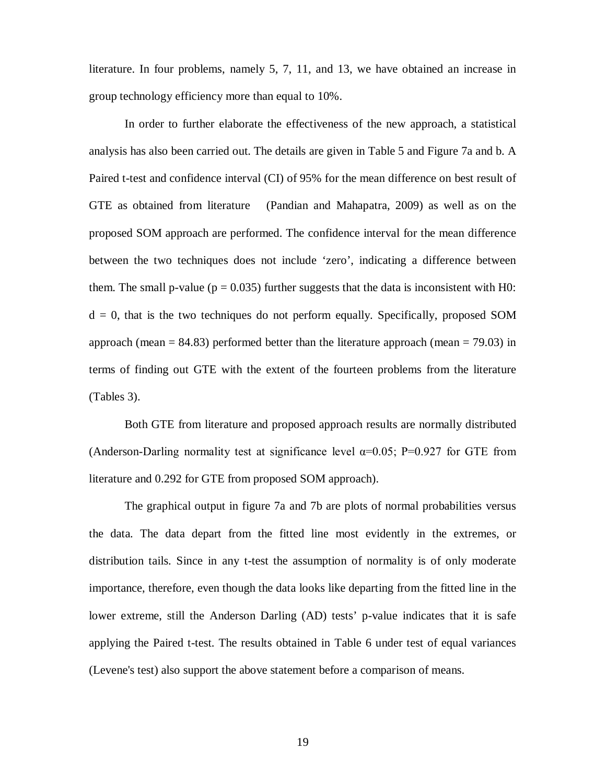literature. In four problems, namely 5, 7, 11, and 13, we have obtained an increase in group technology efficiency more than equal to 10%.

In order to further elaborate the effectiveness of the new approach, a statistical analysis has also been carried out. The details are given in Table 5 and Figure 7a and b. A Paired t-test and confidence interval (CI) of 95% for the mean difference on best result of GTE as obtained from literature (Pandian and Mahapatra, 2009) as well as on the proposed SOM approach are performed. The confidence interval for the mean difference between the two techniques does not include 'zero', indicating a difference between them. The small p-value ( $p = 0.035$ ) further suggests that the data is inconsistent with H0:  $d = 0$ , that is the two techniques do not perform equally. Specifically, proposed SOM approach (mean  $= 84.83$ ) performed better than the literature approach (mean  $= 79.03$ ) in terms of finding out GTE with the extent of the fourteen problems from the literature (Tables 3).

Both GTE from literature and proposed approach results are normally distributed (Anderson-Darling normality test at significance level  $\alpha=0.05$ ; P=0.927 for GTE from literature and 0.292 for GTE from proposed SOM approach).

The graphical output in figure 7a and 7b are plots of normal probabilities versus the data. The data depart from the fitted line most evidently in the extremes, or distribution tails. Since in any t-test the assumption of normality is of only moderate importance, therefore, even though the data looks like departing from the fitted line in the lower extreme, still the Anderson Darling (AD) tests' p-value indicates that it is safe applying the Paired t-test. The results obtained in Table 6 under test of equal variances (Levene's test) also support the above statement before a comparison of means.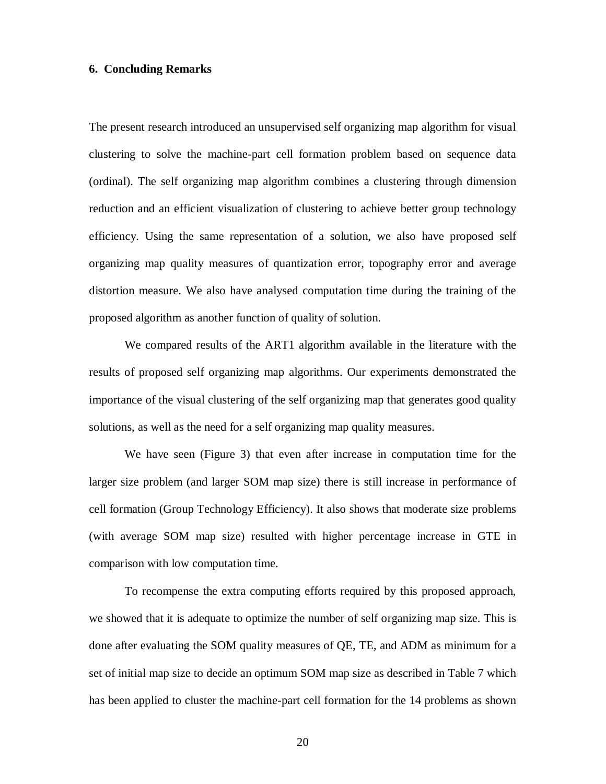# **6. Concluding Remarks**

The present research introduced an unsupervised self organizing map algorithm for visual clustering to solve the machine-part cell formation problem based on sequence data (ordinal). The self organizing map algorithm combines a clustering through dimension reduction and an efficient visualization of clustering to achieve better group technology efficiency. Using the same representation of a solution, we also have proposed self organizing map quality measures of quantization error, topography error and average distortion measure. We also have analysed computation time during the training of the proposed algorithm as another function of quality of solution.

We compared results of the ART1 algorithm available in the literature with the results of proposed self organizing map algorithms. Our experiments demonstrated the importance of the visual clustering of the self organizing map that generates good quality solutions, as well as the need for a self organizing map quality measures.

We have seen (Figure 3) that even after increase in computation time for the larger size problem (and larger SOM map size) there is still increase in performance of cell formation (Group Technology Efficiency). It also shows that moderate size problems (with average SOM map size) resulted with higher percentage increase in GTE in comparison with low computation time.

To recompense the extra computing efforts required by this proposed approach, we showed that it is adequate to optimize the number of self organizing map size. This is done after evaluating the SOM quality measures of QE, TE, and ADM as minimum for a set of initial map size to decide an optimum SOM map size as described in Table 7 which has been applied to cluster the machine-part cell formation for the 14 problems as shown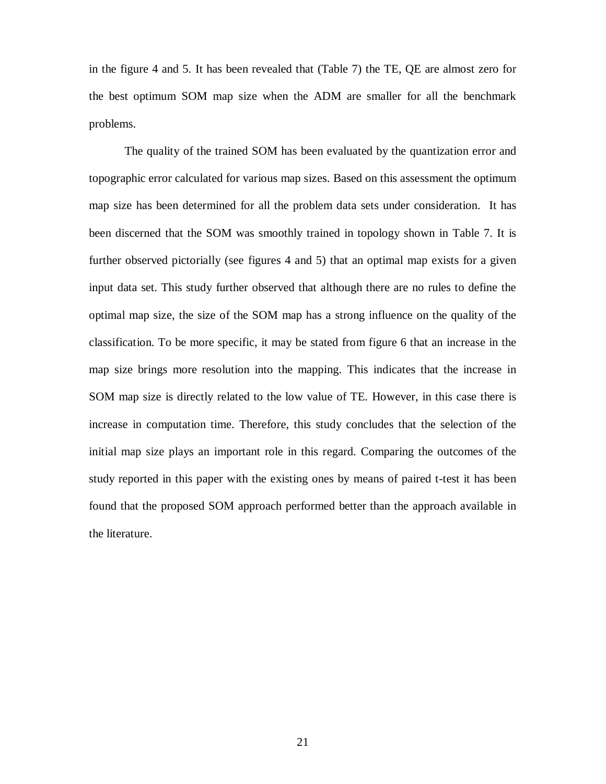in the figure 4 and 5. It has been revealed that (Table 7) the TE, QE are almost zero for the best optimum SOM map size when the ADM are smaller for all the benchmark problems.

The quality of the trained SOM has been evaluated by the quantization error and topographic error calculated for various map sizes. Based on this assessment the optimum map size has been determined for all the problem data sets under consideration. It has been discerned that the SOM was smoothly trained in topology shown in Table 7. It is further observed pictorially (see figures 4 and 5) that an optimal map exists for a given input data set. This study further observed that although there are no rules to define the optimal map size, the size of the SOM map has a strong influence on the quality of the classification. To be more specific, it may be stated from figure 6 that an increase in the map size brings more resolution into the mapping. This indicates that the increase in SOM map size is directly related to the low value of TE. However, in this case there is increase in computation time. Therefore, this study concludes that the selection of the initial map size plays an important role in this regard. Comparing the outcomes of the study reported in this paper with the existing ones by means of paired t-test it has been found that the proposed SOM approach performed better than the approach available in the literature.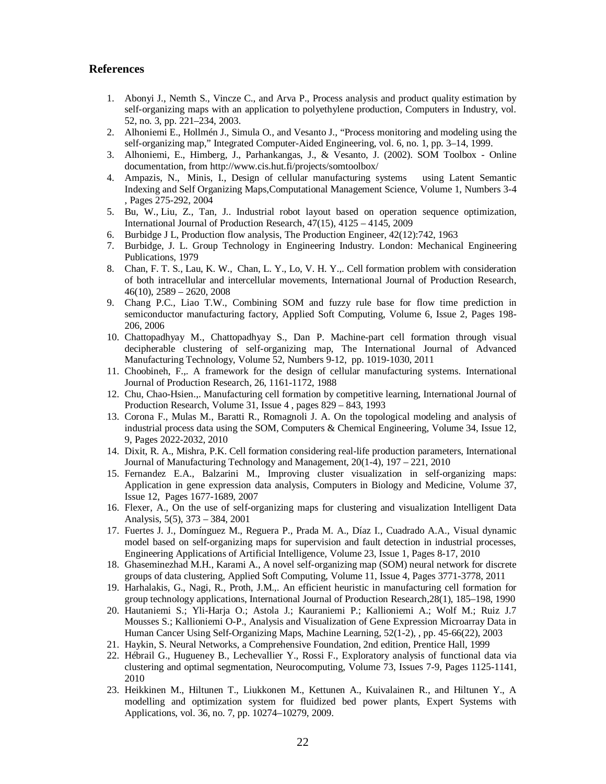#### **References**

- 1. Abonyi J., Nemth S., Vincze C., and Arva P., Process analysis and product quality estimation by self-organizing maps with an application to polyethylene production, Computers in Industry, vol. 52, no. 3, pp. 221–234, 2003.
- 2. Alhoniemi E., Hollmén J., Simula O., and Vesanto J., "Process monitoring and modeling using the self-organizing map," Integrated Computer-Aided Engineering, vol. 6, no. 1, pp. 3–14, 1999.
- 3. Alhoniemi, E., Himberg, J., Parhankangas, J., & Vesanto, J. (2002). SOM Toolbox Online documentation, from http://www.cis.hut.fi/projects/somtoolbox/
- 4. Ampazis, N., Minis, I., Design of cellular manufacturing systems using Latent Semantic Indexing and Self Organizing Maps,Computational Management Science, Volume 1, Numbers 3-4 , Pages 275-292, 2004
- 5. Bu, W., Liu, Z., Tan, J.. Industrial robot layout based on operation sequence optimization, International Journal of Production Research, 47(15), 4125 – 4145, 2009
- 6. Burbidge J L, Production flow analysis, The Production Engineer, 42(12):742, 1963
- 7. Burbidge, J. L. Group Technology in Engineering Industry. London: Mechanical Engineering Publications, 1979
- 8. Chan, F. T. S., Lau, K. W., Chan, L. Y., Lo, V. H. Y.,. Cell formation problem with consideration of both intracellular and intercellular movements, International Journal of Production Research,  $46(10)$ ,  $2589 - 2620$ ,  $2008$
- 9. Chang P.C., Liao T.W., Combining SOM and fuzzy rule base for flow time prediction in semiconductor manufacturing factory, Applied Soft Computing, Volume 6, Issue 2, Pages 198- 206, 2006
- 10. Chattopadhyay M., Chattopadhyay S., Dan P. Machine-part cell formation through visual decipherable clustering of self-organizing map, The International Journal of Advanced Manufacturing Technology, Volume 52, Numbers 9-12, pp. 1019-1030, 2011
- 11. Choobineh, F.,. A framework for the design of cellular manufacturing systems. International Journal of Production Research, 26, 1161-1172, 1988
- 12. Chu, Chao-Hsien.,. Manufacturing cell formation by competitive learning, International Journal of Production Research, Volume 31, Issue 4 , pages 829 – 843, 1993
- 13. Corona F., Mulas M., Baratti R., Romagnoli J. A. On the topological modeling and analysis of industrial process data using the SOM, Computers & Chemical Engineering, Volume 34, Issue 12, 9, Pages 2022-2032, 2010
- 14. Dixit, R. A., Mishra, P.K. Cell formation considering real-life production parameters, International Journal of Manufacturing Technology and Management, 20(1-4), 197 – 221, 2010
- 15. Fernandez E.A., Balzarini M., Improving cluster visualization in self-organizing maps: Application in gene expression data analysis, Computers in Biology and Medicine, Volume 37, Issue 12, Pages 1677-1689, 2007
- 16. Flexer, A., On the use of self-organizing maps for clustering and visualization Intelligent Data Analysis, 5(5), 373 – 384, 2001
- 17. Fuertes J. J., Domínguez M., Reguera P., Prada M. A., Díaz I., Cuadrado A.A., Visual dynamic model based on self-organizing maps for supervision and fault detection in industrial processes, Engineering Applications of Artificial Intelligence, Volume 23, Issue 1, Pages 8-17, 2010
- 18. Ghaseminezhad M.H., Karami A., A novel self-organizing map (SOM) neural network for discrete groups of data clustering, Applied Soft Computing, Volume 11, Issue 4, Pages 3771-3778, 2011
- 19. Harhalakis, G., Nagi, R., Proth, J.M.,. An efficient heuristic in manufacturing cell formation for group technology applications, International Journal of Production Research,28(1), 185–198, 1990
- 20. Hautaniemi S.; Yli-Harja O.; Astola J.; Kauraniemi P.; Kallioniemi A.; Wolf M.; Ruiz J.7 Mousses S.; Kallioniemi O-P., Analysis and Visualization of Gene Expression Microarray Data in Human Cancer Using Self-Organizing Maps, Machine Learning, 52(1-2), , pp. 45-66(22), 2003
- 21. Haykin, S. Neural Networks, a Comprehensive Foundation, 2nd edition, Prentice Hall, 1999
- 22. Hébrail G., Hugueney B., Lechevallier Y., Rossi F., Exploratory analysis of functional data via clustering and optimal segmentation, Neurocomputing, Volume 73, Issues 7-9, Pages 1125-1141, 2010
- 23. Heikkinen M., Hiltunen T., Liukkonen M., Kettunen A., Kuivalainen R., and Hiltunen Y., A modelling and optimization system for fluidized bed power plants, Expert Systems with Applications, vol. 36, no. 7, pp. 10274–10279, 2009.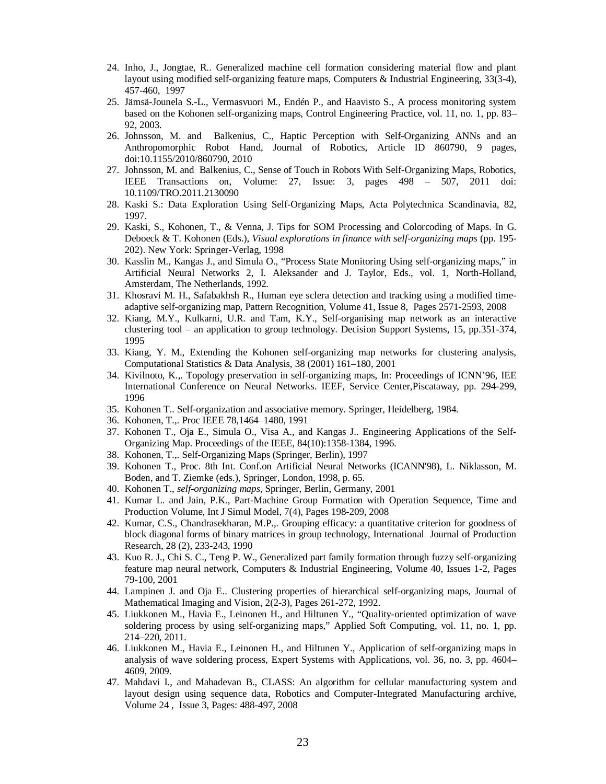- 24. Inho, J., Jongtae, R.. Generalized machine cell formation considering material flow and plant layout using modified self-organizing feature maps, Computers & Industrial Engineering, 33(3-4), 457-460, 1997
- 25. Jämsä-Jounela S.-L., Vermasvuori M., Endén P., and Haavisto S., A process monitoring system based on the Kohonen self-organizing maps, Control Engineering Practice, vol. 11, no. 1, pp. 83– 92, 2003.
- 26. Johnsson, M. and Balkenius, C., Haptic Perception with Self-Organizing ANNs and an Anthropomorphic Robot Hand, Journal of Robotics, Article ID 860790, 9 pages, doi:10.1155/2010/860790, 2010
- 27. Johnsson, M. and Balkenius, C., Sense of Touch in Robots With Self-Organizing Maps, Robotics, IEEE Transactions on, Volume: 27, Issue: 3, pages 498 – 507, 2011 doi: 10.1109/TRO.2011.2130090
- 28. Kaski S.: Data Exploration Using Self-Organizing Maps, Acta Polytechnica Scandinavia, 82, 1997.
- 29. Kaski, S., Kohonen, T., & Venna, J. Tips for SOM Processing and Colorcoding of Maps. In G. Deboeck & T. Kohonen (Eds.), *Visual explorations in finance with self-organizing maps* (pp. 195- 202). New York: Springer-Verlag, 1998
- 30. Kasslin M., Kangas J., and Simula O., "Process State Monitoring Using self-organizing maps," in Artificial Neural Networks 2, I. Aleksander and J. Taylor, Eds., vol. 1, North-Holland, Amsterdam, The Netherlands, 1992.
- 31. Khosravi M. H., Safabakhsh R., Human eye sclera detection and tracking using a modified timeadaptive self-organizing map, Pattern Recognition, Volume 41, Issue 8, Pages 2571-2593, 2008
- 32. Kiang, M.Y., Kulkarni, U.R. and Tam, K.Y., Self-organising map network as an interactive clustering tool – an application to group technology. Decision Support Systems, 15, pp.351-374, 1995
- 33. Kiang, Y. M., Extending the Kohonen self-organizing map networks for clustering analysis, Computational Statistics & Data Analysis, 38 (2001) 161–180, 2001
- 34. Kivilnoto, K.,. Topology preservation in self-organizing maps, In: Proceedings of ICNN'96, IEE International Conference on Neural Networks. IEEF, Service Center,Piscataway, pp. 294-299, 1996
- 35. Kohonen T.. Self-organization and associative memory. Springer, Heidelberg, 1984.
- 36. Kohonen, T.,. Proc IEEE 78,1464–1480, 1991
- 37. Kohonen T., Oja E., Simula O., Visa A., and Kangas J.. Engineering Applications of the Self-Organizing Map. Proceedings of the IEEE, 84(10):1358-1384, 1996.
- 38. Kohonen, T.,. Self-Organizing Maps (Springer, Berlin), 1997
- 39. Kohonen T., Proc. 8th Int. Conf.on Artificial Neural Networks (ICANN'98), L. Niklasson, M. Boden, and T. Ziemke (eds.), Springer, London, 1998, p. 65.
- 40. Kohonen T., *self-organizing maps*, Springer, Berlin, Germany, 2001
- 41. Kumar L. and Jain, P.K., Part-Machine Group Formation with Operation Sequence, Time and Production Volume, Int J Simul Model, 7(4), Pages 198-209, 2008
- 42. Kumar, C.S., Chandrasekharan, M.P.,. Grouping efficacy: a quantitative criterion for goodness of block diagonal forms of binary matrices in group technology, International Journal of Production Research, 28 (2), 233-243, 1990
- 43. Kuo R. J., Chi S. C., Teng P. W., Generalized part family formation through fuzzy self-organizing feature map neural network, Computers & Industrial Engineering, Volume 40, Issues 1-2, Pages 79-100, 2001
- 44. Lampinen J. and Oja E.. Clustering properties of hierarchical self-organizing maps, Journal of Mathematical Imaging and Vision, 2(2-3), Pages 261-272, 1992.
- 45. Liukkonen M., Havia E., Leinonen H., and Hiltunen Y., "Quality-oriented optimization of wave soldering process by using self-organizing maps," Applied Soft Computing, vol. 11, no. 1, pp. 214–220, 2011.
- 46. Liukkonen M., Havia E., Leinonen H., and Hiltunen Y., Application of self-organizing maps in analysis of wave soldering process, Expert Systems with Applications, vol. 36, no. 3, pp. 4604– 4609, 2009.
- 47. Mahdavi I., and Mahadevan B., CLASS: An algorithm for cellular manufacturing system and layout design using sequence data, Robotics and Computer-Integrated Manufacturing archive, Volume 24 , Issue 3, Pages: 488-497, 2008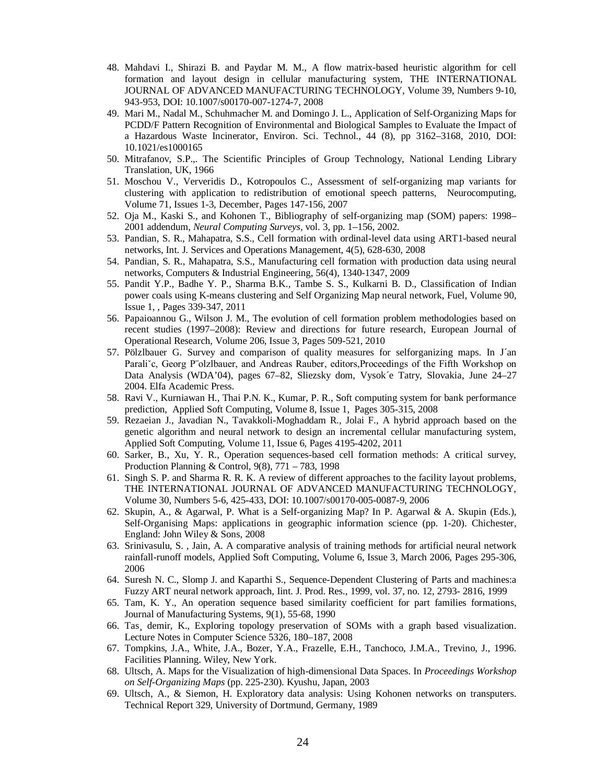- 48. Mahdavi I., Shirazi B. and Paydar M. M., A flow matrix-based heuristic algorithm for cell formation and layout design in cellular manufacturing system, THE INTERNATIONAL JOURNAL OF ADVANCED MANUFACTURING TECHNOLOGY, Volume 39, Numbers 9-10, 943-953, DOI: 10.1007/s00170-007-1274-7, 2008
- 49. Mari M., Nadal M., Schuhmacher M. and Domingo J. L., Application of Self-Organizing Maps for PCDD/F Pattern Recognition of Environmental and Biological Samples to Evaluate the Impact of a Hazardous Waste Incinerator, Environ. Sci. Technol., 44 (8), pp 3162–3168, 2010, DOI: 10.1021/es1000165
- 50. Mitrafanov, S.P.,. The Scientific Principles of Group Technology, National Lending Library Translation, UK, 1966
- 51. Moschou V., Ververidis D., Kotropoulos C., Assessment of self-organizing map variants for clustering with application to redistribution of emotional speech patterns, Neurocomputing, Volume 71, Issues 1-3, December, Pages 147-156, 2007
- 52. Oja M., Kaski S., and Kohonen T., Bibliography of self-organizing map (SOM) papers: 1998– 2001 addendum, *Neural Computing Surveys*, vol. 3, pp. 1–156, 2002.
- 53. Pandian, S. R., Mahapatra, S.S., Cell formation with ordinal-level data using ART1-based neural networks, Int. J. Services and Operations Management, 4(5), 628-630, 2008
- 54. Pandian, S. R., Mahapatra, S.S., Manufacturing cell formation with production data using neural networks, Computers & Industrial Engineering, 56(4), 1340-1347, 2009
- 55. Pandit Y.P., Badhe Y. P., Sharma B.K., Tambe S. S., Kulkarni B. D., Classification of Indian power coals using K-means clustering and Self Organizing Map neural network, Fuel, Volume 90, Issue 1, , Pages 339-347, 2011
- 56. Papaioannou G., Wilson J. M., The evolution of cell formation problem methodologies based on recent studies (1997–2008): Review and directions for future research, European Journal of Operational Research, Volume 206, Issue 3, Pages 509-521, 2010
- 57. Pölzlbauer G. Survey and comparison of quality measures for selforganizing maps. In J´an Paraliˇc, Georg P¨olzlbauer, and Andreas Rauber, editors,Proceedings of the Fifth Workshop on Data Analysis (WDA'04), pages 67–82, Sliezsky dom, Vysok´e Tatry, Slovakia, June 24–27 2004. Elfa Academic Press.
- 58. Ravi V., Kurniawan H., Thai P.N. K., Kumar, P. R., Soft computing system for bank performance prediction, Applied Soft Computing, Volume 8, Issue 1, Pages 305-315, 2008
- 59. Rezaeian J., Javadian N., Tavakkoli-Moghaddam R., Jolai F., A hybrid approach based on the genetic algorithm and neural network to design an incremental cellular manufacturing system, Applied Soft Computing, Volume 11, Issue 6, Pages 4195-4202, 2011
- 60. Sarker, B., Xu, Y. R., Operation sequences-based cell formation methods: A critical survey, Production Planning & Control, 9(8), 771 – 783, 1998
- 61. Singh S. P. and Sharma R. R. K. A review of different approaches to the facility layout problems, THE INTERNATIONAL JOURNAL OF ADVANCED MANUFACTURING TECHNOLOGY, Volume 30, Numbers 5-6, 425-433, DOI: 10.1007/s00170-005-0087-9, 2006
- 62. Skupin, A., & Agarwal, P. What is a Self-organizing Map? In P. Agarwal & A. Skupin (Eds.), Self-Organising Maps: applications in geographic information science (pp. 1-20). Chichester, England: John Wiley & Sons, 2008
- 63. Srinivasulu, S. , Jain, A. A comparative analysis of training methods for artificial neural network rainfall-runoff models, Applied Soft Computing, Volume 6, Issue 3, March 2006, Pages 295-306, 2006
- 64. Suresh N. C., Slomp J. and Kaparthi S., Sequence-Dependent Clustering of Parts and machines:a Fuzzy ART neural network approach, Iint. J. Prod. Res., 1999, vol. 37, no. 12, 2793- 2816, 1999
- 65. Tam, K. Y., An operation sequence based similarity coefficient for part families formations, Journal of Manufacturing Systems, 9(1), 55-68, 1990
- 66. Tas¸ demir, K., Exploring topology preservation of SOMs with a graph based visualization. Lecture Notes in Computer Science 5326, 180–187, 2008
- 67. Tompkins, J.A., White, J.A., Bozer, Y.A., Frazelle, E.H., Tanchoco, J.M.A., Trevino, J., 1996. Facilities Planning. Wiley, New York.
- 68. Ultsch, A. Maps for the Visualization of high-dimensional Data Spaces. In *Proceedings Workshop on Self-Organizing Maps* (pp. 225-230). Kyushu, Japan, 2003
- 69. Ultsch, A., & Siemon, H. Exploratory data analysis: Using Kohonen networks on transputers. Technical Report 329, University of Dortmund, Germany, 1989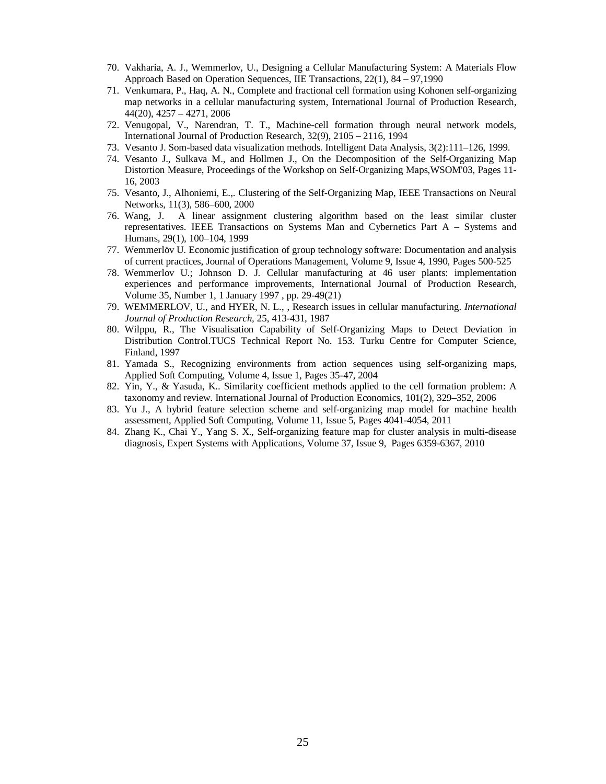- 70. Vakharia, A. J., Wemmerlov, U., Designing a Cellular Manufacturing System: A Materials Flow Approach Based on Operation Sequences, IIE Transactions, 22(1), 84 – 97,1990
- 71. Venkumara, P., Haq, A. N., Complete and fractional cell formation using Kohonen self-organizing map networks in a cellular manufacturing system, International Journal of Production Research, 44(20), 4257 – 4271, 2006
- 72. Venugopal, V., Narendran, T. T., Machine-cell formation through neural network models, International Journal of Production Research, 32(9), 2105 – 2116, 1994
- 73. Vesanto J. Som-based data visualization methods. Intelligent Data Analysis, 3(2):111–126, 1999.
- 74. Vesanto J., Sulkava M., and Hollmen J., On the Decomposition of the Self-Organizing Map Distortion Measure, Proceedings of the Workshop on Self-Organizing Maps,WSOM'03, Pages 11- 16, 2003
- 75. Vesanto, J., Alhoniemi, E.,. Clustering of the Self-Organizing Map, IEEE Transactions on Neural Networks, 11(3), 586–600, 2000
- 76. Wang, J. A linear assignment clustering algorithm based on the least similar cluster representatives. IEEE Transactions on Systems Man and Cybernetics Part A – Systems and Humans, 29(1), 100–104, 1999
- 77. Wemmerlöv U. Economic justification of group technology software: Documentation and analysis of current practices, Journal of Operations Management, Volume 9, Issue 4, 1990, Pages 500-525
- 78. Wemmerlov U.; Johnson D. J. Cellular manufacturing at 46 user plants: implementation experiences and performance improvements, International Journal of Production Research, Volume 35, Number 1, 1 January 1997 , pp. 29-49(21)
- 79. WEMMERLOV, U., and HYER, N. L., , Research issues in cellular manufacturing. *International Journal of Production Research,* 25, 413-431, 1987
- 80. Wilppu, R., The Visualisation Capability of Self-Organizing Maps to Detect Deviation in Distribution Control.TUCS Technical Report No. 153. Turku Centre for Computer Science, Finland, 1997
- 81. Yamada S., Recognizing environments from action sequences using self-organizing maps, Applied Soft Computing, Volume 4, Issue 1, Pages 35-47, 2004
- 82. Yin, Y., & Yasuda, K.. Similarity coefficient methods applied to the cell formation problem: A taxonomy and review. International Journal of Production Economics, 101(2), 329–352, 2006
- 83. Yu J., A hybrid feature selection scheme and self-organizing map model for machine health assessment, Applied Soft Computing, Volume 11, Issue 5, Pages 4041-4054, 2011
- 84. Zhang K., Chai Y., Yang S. X., Self-organizing feature map for cluster analysis in multi-disease diagnosis, Expert Systems with Applications, Volume 37, Issue 9, Pages 6359-6367, 2010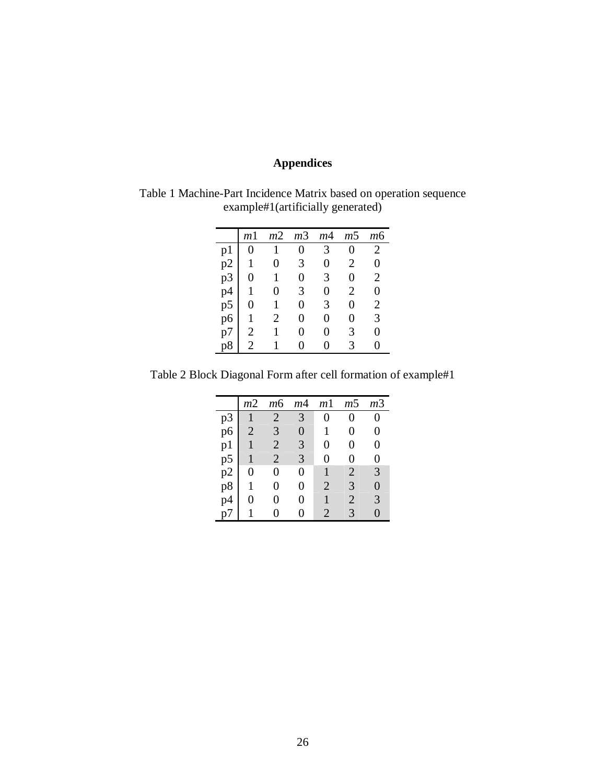# **Appendices**

Table 1 Machine-Part Incidence Matrix based on operation sequence example#1(artificially generated)

|                | m <sub>1</sub> | m <sub>2</sub> | m <sub>3</sub> | m <sub>4</sub> | m <sub>5</sub> | т6                    |
|----------------|----------------|----------------|----------------|----------------|----------------|-----------------------|
| p1             | 0              |                | 0              | 3              | 0              | $\overline{2}$        |
| p2             |                |                | 3              | 0              | 2              | 0                     |
| p <sub>3</sub> | 0              |                | 0              | 3              | 0              | $\overline{2}$        |
| p4             |                |                | 3              | 0              | 2              |                       |
| p <sub>5</sub> | 0              |                | 0              | 3              | 0              | $\mathcal{D}_{\cdot}$ |
| p6             |                | 2              | 0              | 0              | 0              | 3                     |
| р7             | 2              |                | 0              |                | 3              |                       |
|                | 2              |                |                |                | 3              |                       |

Table 2 Block Diagonal Form after cell formation of example#1

|     | m2             | тб             | m4 | m1                    | m5             | т3 |
|-----|----------------|----------------|----|-----------------------|----------------|----|
| p3  |                | $\overline{2}$ | 3  | 0                     | 0              | 0  |
| p6  | $\overline{2}$ | 3              | 0  | 1                     | 0              | 0  |
| p1  |                | $\overline{2}$ | 3  | 0                     | 0              | 0  |
| p5  |                | $\overline{2}$ | 3  | 0                     | 0              | 0  |
| p2  | 0              | 0              | 0  |                       | $\overline{2}$ | 3  |
| p8  |                | 0              | 0  | $\overline{2}$        | 3              | 0  |
| p4  |                | 0              | 0  |                       | 2              | 3  |
| n / |                | 0              | 0  | $\mathcal{D}_{\cdot}$ | 3              | 0  |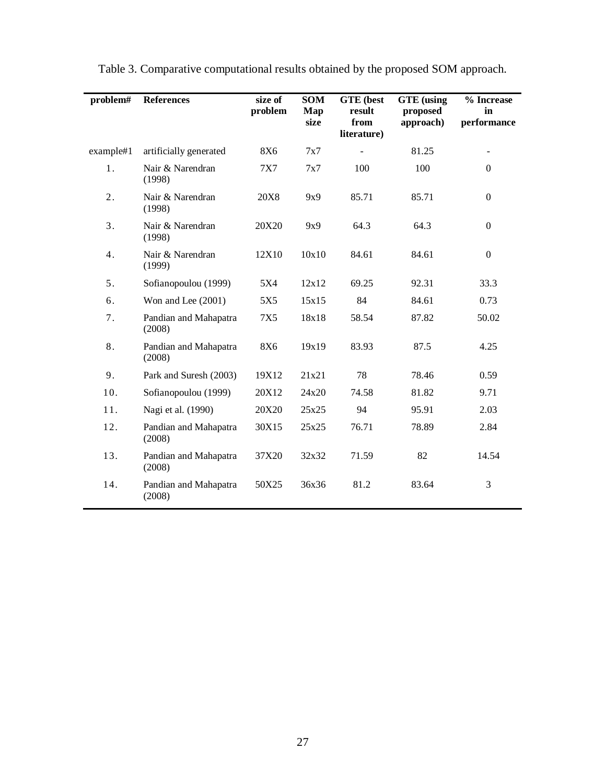| problem#  | <b>References</b>               | size of<br>problem | <b>SOM</b><br>Map<br>size | <b>GTE</b> (best<br>result<br>from<br>literature) | <b>GTE</b> (using<br>proposed<br>approach) | % Increase<br>in<br>performance |
|-----------|---------------------------------|--------------------|---------------------------|---------------------------------------------------|--------------------------------------------|---------------------------------|
| example#1 | artificially generated          | <b>8X6</b>         | 7x7                       |                                                   | 81.25                                      |                                 |
| 1.        | Nair & Narendran<br>(1998)      | <b>7X7</b>         | 7x7                       | 100                                               | 100                                        | $\boldsymbol{0}$                |
| 2.        | Nair & Narendran<br>(1998)      | 20X8               | 9x9                       | 85.71                                             | 85.71                                      | $\boldsymbol{0}$                |
| 3.        | Nair & Narendran<br>(1998)      | 20X20              | 9x9                       | 64.3                                              | 64.3                                       | $\boldsymbol{0}$                |
| 4.        | Nair & Narendran<br>(1999)      | 12X10              | 10x10                     | 84.61                                             | 84.61                                      | $\boldsymbol{0}$                |
| 5.        | Sofianopoulou (1999)            | 5X4                | 12x12                     | 69.25                                             | 92.31                                      | 33.3                            |
| 6.        | Won and Lee (2001)              | 5X5                | 15x15                     | 84                                                | 84.61                                      | 0.73                            |
| 7.        | Pandian and Mahapatra<br>(2008) | 7X5                | 18x18                     | 58.54                                             | 87.82                                      | 50.02                           |
| 8.        | Pandian and Mahapatra<br>(2008) | 8X6                | 19x19                     | 83.93                                             | 87.5                                       | 4.25                            |
| 9.        | Park and Suresh (2003)          | 19X12              | 21x21                     | 78                                                | 78.46                                      | 0.59                            |
| 10.       | Sofianopoulou (1999)            | 20X12              | 24x20                     | 74.58                                             | 81.82                                      | 9.71                            |
| 11.       | Nagi et al. (1990)              | 20X20              | 25x25                     | 94                                                | 95.91                                      | 2.03                            |
| 12.       | Pandian and Mahapatra<br>(2008) | 30X15              | 25x25                     | 76.71                                             | 78.89                                      | 2.84                            |
| 13.       | Pandian and Mahapatra<br>(2008) | 37X20              | 32x32                     | 71.59                                             | 82                                         | 14.54                           |
| 14.       | Pandian and Mahapatra<br>(2008) | 50X25              | 36x36                     | 81.2                                              | 83.64                                      | 3                               |

Table 3. Comparative computational results obtained by the proposed SOM approach.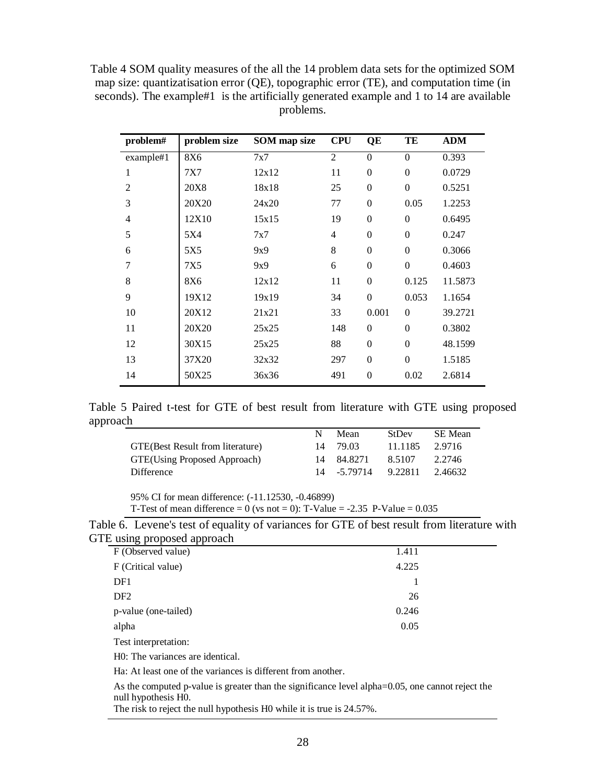| Table 4 SOM quality measures of the all the 14 problem data sets for the optimized SOM        |
|-----------------------------------------------------------------------------------------------|
| map size: quantizatisation error $(QE)$ , topographic error $(TE)$ , and computation time (in |
| seconds). The example#1 is the artificially generated example and 1 to 14 are available       |
| problems.                                                                                     |

| problem#       | problem size | <b>SOM</b> map size | <b>CPU</b>     | QE           | TE               | <b>ADM</b> |
|----------------|--------------|---------------------|----------------|--------------|------------------|------------|
| example#1      | <b>8X6</b>   | 7x7                 | $\overline{2}$ | $\theta$     | $\theta$         | 0.393      |
| 1              | 7X7          | 12x12               | 11             | $\theta$     | $\mathbf{0}$     | 0.0729     |
| $\overline{2}$ | <b>20X8</b>  | 18x18               | 25             | $\mathbf{0}$ | $\mathbf{0}$     | 0.5251     |
| 3              | 20X20        | 24x20               | 77             | $\theta$     | 0.05             | 1.2253     |
| $\overline{4}$ | 12X10        | 15x15               | 19             | $\theta$     | $\mathbf{0}$     | 0.6495     |
| 5              | 5X4          | 7x7                 | 4              | $\mathbf{0}$ | $\mathbf{0}$     | 0.247      |
| 6              | 5X5          | 9x9                 | 8              | $\theta$     | $\theta$         | 0.3066     |
| 7              | 7X5          | 9x9                 | 6              | $\theta$     | $\mathbf{0}$     | 0.4603     |
| 8              | 8X6          | 12x12               | 11             | $\mathbf{0}$ | 0.125            | 11.5873    |
| 9              | 19X12        | 19x19               | 34             | $\theta$     | 0.053            | 1.1654     |
| 10             | 20X12        | 21x21               | 33             | 0.001        | $\boldsymbol{0}$ | 39.2721    |
| 11             | 20X20        | 25x25               | 148            | $\mathbf{0}$ | $\theta$         | 0.3802     |
| 12             | 30X15        | 25x25               | 88             | $\theta$     | $\theta$         | 48.1599    |
| 13             | 37X20        | 32x32               | 297            | $\mathbf{0}$ | $\mathbf{0}$     | 1.5185     |
| 14             | 50X25        | 36x36               | 491            | $\theta$     | 0.02             | 2.6814     |

Table 5 Paired t-test for GTE of best result from literature with GTE using proposed approach  $\overline{\phantom{0}}$ 

|                                   | N  | Mean         | <b>StDev</b> | SE Mean |
|-----------------------------------|----|--------------|--------------|---------|
| GTE (Best Result from literature) | 14 | 79.03        | 11.1185      | 2.9716  |
| GTE(Using Proposed Approach)      | 14 | 84.8271      | 8.5107       | 2.2746  |
| Difference                        |    | 14 - 5.79714 | 9.22811      | 2.46632 |

95% CI for mean difference: (-11.12530, -0.46899)

T-Test of mean difference = 0 (vs not = 0): T-Value = -2.35 P-Value =  $0.035$ 

| Table 6. Levene's test of equality of variances for GTE of best result from literature with |  |  |  |  |
|---------------------------------------------------------------------------------------------|--|--|--|--|
| GTE using proposed approach                                                                 |  |  |  |  |

| --                   |       |  |
|----------------------|-------|--|
| F (Observed value)   | 1.411 |  |
| F (Critical value)   | 4.225 |  |
| DF1                  |       |  |
| DF <sub>2</sub>      | 26    |  |
| p-value (one-tailed) | 0.246 |  |
| alpha                | 0.05  |  |
|                      |       |  |

Test interpretation:

H0: The variances are identical.

Ha: At least one of the variances is different from another.

As the computed p-value is greater than the significance level alpha=0.05, one cannot reject the null hypothesis H0.

The risk to reject the null hypothesis H0 while it is true is 24.57%.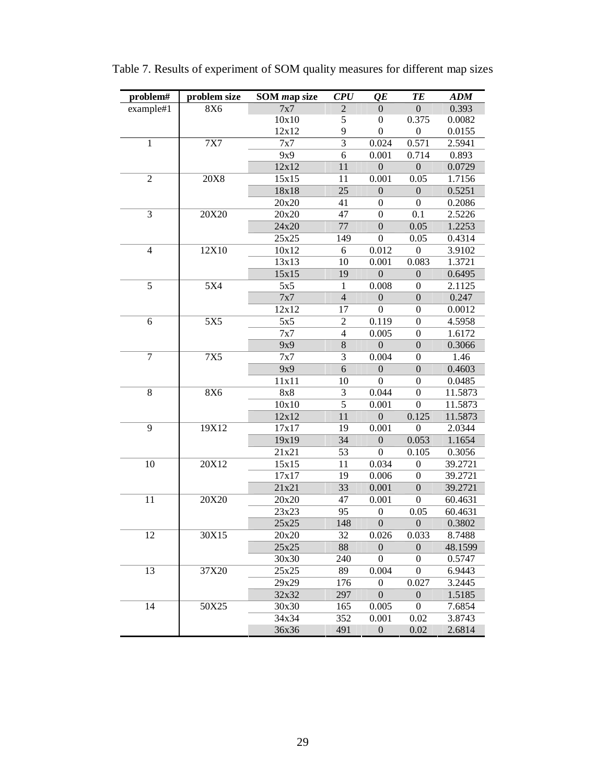| problem#       | problem size | <b>SOM</b> map size | <b>CPU</b>               | QE               | TE               | <b>ADM</b> |
|----------------|--------------|---------------------|--------------------------|------------------|------------------|------------|
| example#1      | 8X6          | 7x7                 | $\overline{c}$           | 0                | $\boldsymbol{0}$ | 0.393      |
|                |              | 10x10               | 5                        | $\boldsymbol{0}$ | 0.375            | 0.0082     |
|                |              | 12x12               | 9                        | $\boldsymbol{0}$ | $\boldsymbol{0}$ | 0.0155     |
| 1              | <b>7X7</b>   | 7x7                 | $\overline{3}$           | 0.024            | 0.571            | 2.5941     |
|                |              | 9x9                 | 6                        | 0.001            | 0.714            | 0.893      |
|                |              | 12x12               | 11                       | $\overline{0}$   | $\overline{0}$   | 0.0729     |
| $\overline{2}$ | <b>20X8</b>  | 15x15               | 11                       | 0.001            | 0.05             | 1.7156     |
|                |              | 18x18               | 25                       | $\boldsymbol{0}$ | $\boldsymbol{0}$ | 0.5251     |
|                |              | 20x20               | 41                       | $\boldsymbol{0}$ | $\boldsymbol{0}$ | 0.2086     |
| 3              | 20X20        | 20x20               | 47                       | $\boldsymbol{0}$ | 0.1              | 2.5226     |
|                |              | 24x20               | 77                       | $\boldsymbol{0}$ | 0.05             | 1.2253     |
|                |              | 25x25               | 149                      | $\boldsymbol{0}$ | 0.05             | 0.4314     |
| $\overline{4}$ | 12X10        | 10x12               | 6                        | 0.012            | $\boldsymbol{0}$ | 3.9102     |
|                |              | 13x13               | 10                       | 0.001            | 0.083            | 1.3721     |
|                |              | 15x15               | 19                       | $\overline{0}$   | $\boldsymbol{0}$ | 0.6495     |
| 5              | 5X4          | 5x5                 | $\mathbf{1}$             | 0.008            | $\boldsymbol{0}$ | 2.1125     |
|                |              | 7x7                 | $\overline{4}$           | $\boldsymbol{0}$ | $\boldsymbol{0}$ | 0.247      |
|                |              | 12x12               | 17                       | $\boldsymbol{0}$ | $\boldsymbol{0}$ | 0.0012     |
| 6              | 5X5          | 5x5                 | $\overline{c}$           | 0.119            | $\boldsymbol{0}$ | 4.5958     |
|                |              | 7x7                 | $\overline{\mathcal{L}}$ | 0.005            | $\boldsymbol{0}$ | 1.6172     |
|                |              | 9x9                 | 8                        | $\overline{0}$   | $\boldsymbol{0}$ | 0.3066     |
| 7              | <b>7X5</b>   | 7x7                 | 3                        | 0.004            | $\boldsymbol{0}$ | 1.46       |
|                |              | 9x9                 | $\overline{6}$           | $\boldsymbol{0}$ | $\boldsymbol{0}$ | 0.4603     |
|                |              | 11x11               | 10                       | $\boldsymbol{0}$ | $\boldsymbol{0}$ | 0.0485     |
| 8              | <b>8X6</b>   | 8x8                 | 3                        | 0.044            | $\boldsymbol{0}$ | 11.5873    |
|                |              | 10x10               | $\overline{5}$           | 0.001            | $\boldsymbol{0}$ | 11.5873    |
|                |              | 12x12               | 11                       | $\overline{0}$   | 0.125            | 11.5873    |
| 9              | 19X12        | 17x17               | 19                       | 0.001            | $\boldsymbol{0}$ | 2.0344     |
|                |              | 19x19               | 34                       | $\boldsymbol{0}$ | 0.053            | 1.1654     |
|                |              | 21x21               | 53                       | $\boldsymbol{0}$ | 0.105            | 0.3056     |
| 10             | 20X12        | 15x15               | 11                       | 0.034            | $\boldsymbol{0}$ | 39.2721    |
|                |              | 17x17               | 19                       | 0.006            | $\boldsymbol{0}$ | 39.2721    |
|                |              | 21x21               | 33                       | 0.001            | $\boldsymbol{0}$ | 39.2721    |
| 11             | 20X20        | 20x20               | 47                       | 0.001            | $\boldsymbol{0}$ | 60.4631    |
|                |              | 23x23               | 95                       | $\boldsymbol{0}$ | 0.05             | 60.4631    |
|                |              | 25x25               | 148                      | $\boldsymbol{0}$ | $\boldsymbol{0}$ | 0.3802     |
| 12             | 30X15        | 20x20               | 32                       | 0.026            | 0.033            | 8.7488     |
|                |              | 25x25               | 88                       | $\boldsymbol{0}$ | $\boldsymbol{0}$ | 48.1599    |
|                |              | 30x30               | 240                      | 0                | 0                | 0.5747     |
| 13             | 37X20        | 25x25               | 89                       | 0.004            | $\boldsymbol{0}$ | 6.9443     |
|                |              | 29x29               | 176                      | $\boldsymbol{0}$ | 0.027            | 3.2445     |
|                |              | 32x32               | 297                      | $\theta$         | $\boldsymbol{0}$ | 1.5185     |
| 14             | 50X25        | 30x30               | 165                      | 0.005            | 0                | 7.6854     |
|                |              | 34x34               | 352                      | 0.001            | 0.02             | 3.8743     |
|                |              | 36x36               | 491                      | $\boldsymbol{0}$ | 0.02             | 2.6814     |

Table 7. Results of experiment of SOM quality measures for different map sizes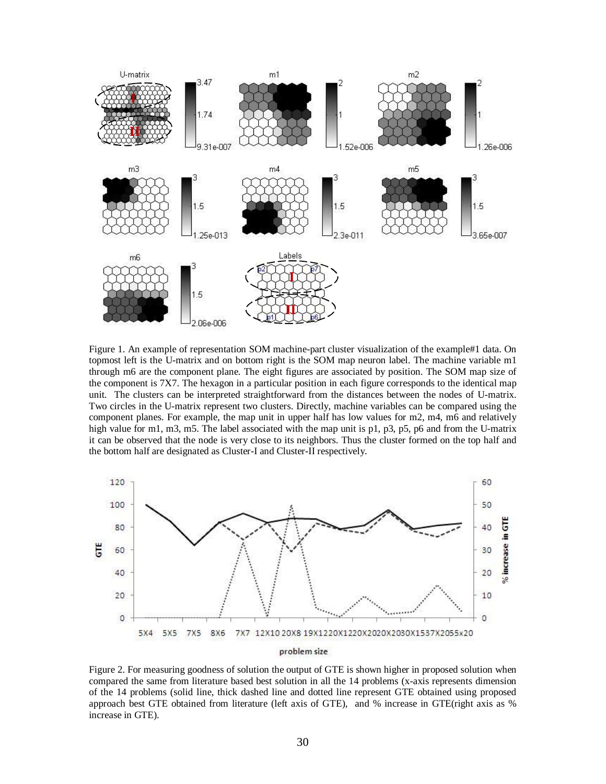

Figure 1. An example of representation SOM machine-part cluster visualization of the example#1 data. On topmost left is the U-matrix and on bottom right is the SOM map neuron label. The machine variable m1 through m6 are the component plane. The eight figures are associated by position. The SOM map size of the component is 7X7. The hexagon in a particular position in each figure corresponds to the identical map unit. The clusters can be interpreted straightforward from the distances between the nodes of U-matrix. Two circles in the U-matrix represent two clusters. Directly, machine variables can be compared using the component planes. For example, the map unit in upper half has low values for m2, m4, m6 and relatively high value for m1, m3, m5. The label associated with the map unit is p1, p3, p5, p6 and from the U-matrix it can be observed that the node is very close to its neighbors. Thus the cluster formed on the top half and the bottom half are designated as Cluster-I and Cluster-II respectively.



Figure 2. For measuring goodness of solution the output of GTE is shown higher in proposed solution when compared the same from literature based best solution in all the 14 problems (x-axis represents dimension of the 14 problems (solid line, thick dashed line and dotted line represent GTE obtained using proposed approach best GTE obtained from literature (left axis of GTE), and % increase in GTE(right axis as % increase in GTE).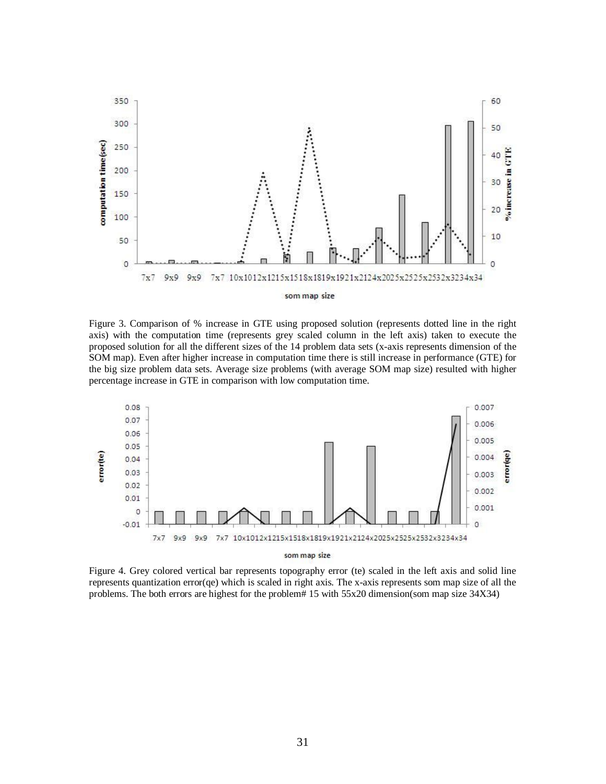

Figure 3. Comparison of % increase in GTE using proposed solution (represents dotted line in the right axis) with the computation time (represents grey scaled column in the left axis) taken to execute the proposed solution for all the different sizes of the 14 problem data sets (x-axis represents dimension of the SOM map). Even after higher increase in computation time there is still increase in performance (GTE) for the big size problem data sets. Average size problems (with average SOM map size) resulted with higher percentage increase in GTE in comparison with low computation time.



som map size

Figure 4. Grey colored vertical bar represents topography error (te) scaled in the left axis and solid line represents quantization error(qe) which is scaled in right axis. The x-axis represents som map size of all the problems. The both errors are highest for the problem# 15 with 55x20 dimension(som map size 34X34)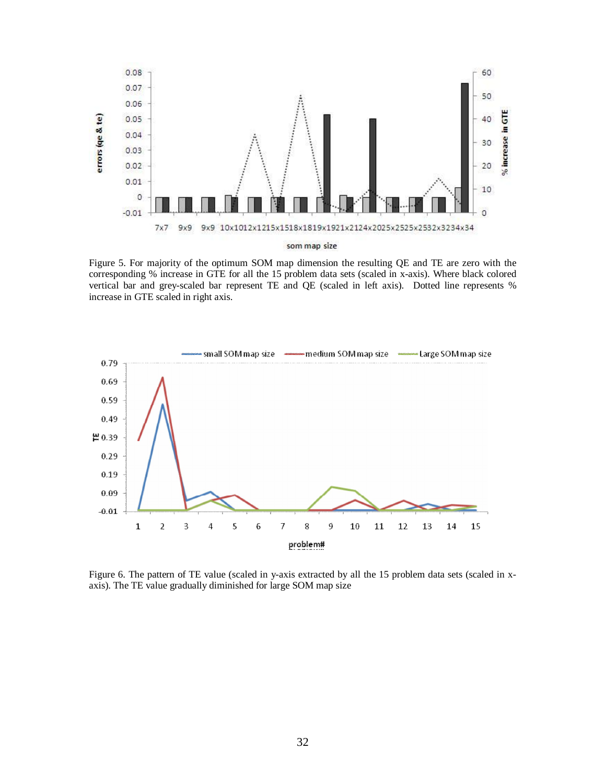

Figure 5. For majority of the optimum SOM map dimension the resulting QE and TE are zero with the corresponding % increase in GTE for all the 15 problem data sets (scaled in x-axis). Where black colored vertical bar and grey-scaled bar represent TE and QE (scaled in left axis). Dotted line represents % increase in GTE scaled in right axis.



Figure 6. The pattern of TE value (scaled in y-axis extracted by all the 15 problem data sets (scaled in xaxis). The TE value gradually diminished for large SOM map size